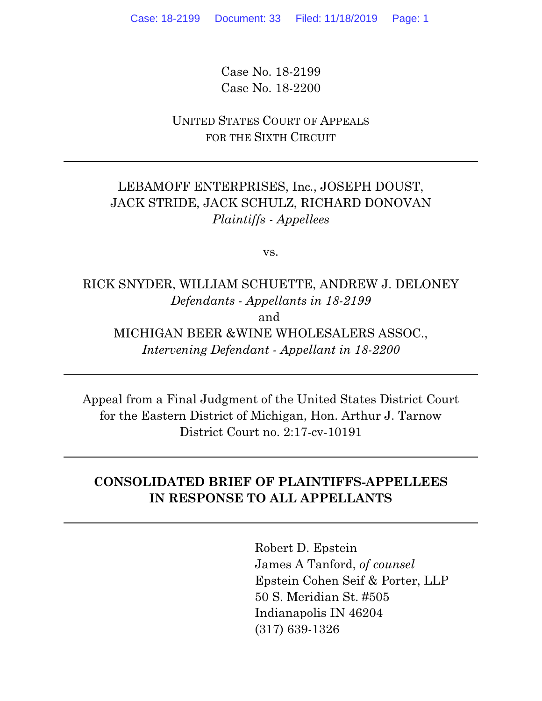Case No. 18-2199 Case No. 18-2200

UNITED STATES COURT OF APPEALS FOR THE SIXTH CIRCUIT

# LEBAMOFF ENTERPRISES, Inc., JOSEPH DOUST, JACK STRIDE, JACK SCHULZ, RICHARD DONOVAN *Plaintiffs - Appellees*

vs.

RICK SNYDER, WILLIAM SCHUETTE, ANDREW J. DELONEY *Defendants - Appellants in 18-2199* and MICHIGAN BEER &WINE WHOLESALERS ASSOC., *Intervening Defendant - Appellant in 18-2200*

Appeal from a Final Judgment of the United States District Court for the Eastern District of Michigan, Hon. Arthur J. Tarnow District Court no. 2:17-cv-10191

# **CONSOLIDATED BRIEF OF PLAINTIFFS-APPELLEES IN RESPONSE TO ALL APPELLANTS**

Robert D. Epstein James A Tanford, *of counsel* Epstein Cohen Seif & Porter, LLP 50 S. Meridian St. #505 Indianapolis IN 46204 (317) 639-1326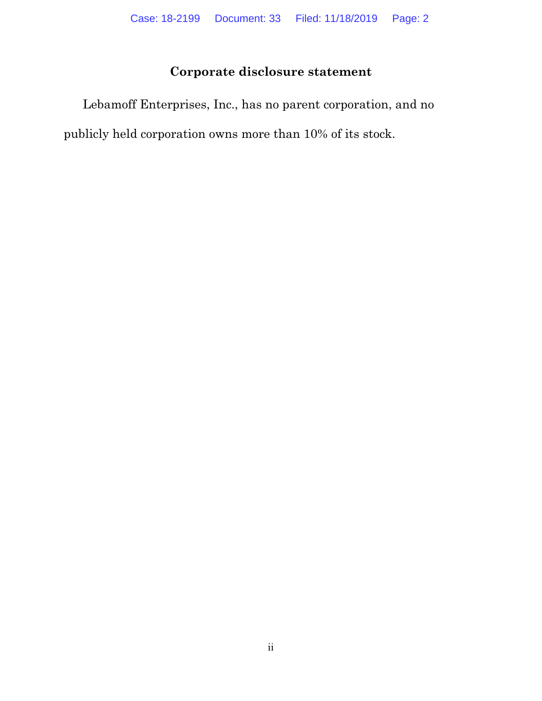# **Corporate disclosure statement**

Lebamoff Enterprises, Inc., has no parent corporation, and no publicly held corporation owns more than 10% of its stock.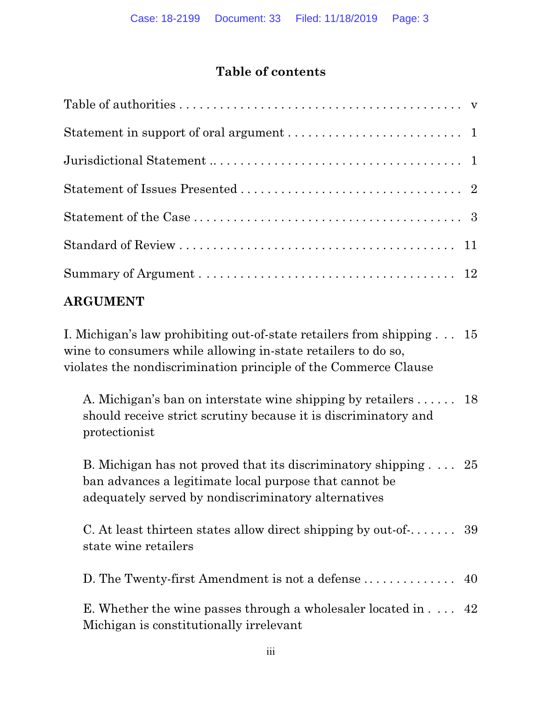# **Table of contents**

# **ARGUMENT**

I. Michigan's law prohibiting out-of-state retailers from shipping . . . 15 wine to consumers while allowing in-state retailers to do so, violates the nondiscrimination principle of the Commerce Clause

A. Michigan's ban on interstate wine shipping by retailers . . . . . . 18 should receive strict scrutiny because it is discriminatory and protectionist

B. Michigan has not proved that its discriminatory shipping . . . . 25 ban advances a legitimate local purpose that cannot be adequately served by nondiscriminatory alternatives

C. At least thirteen states allow direct shipping by out-of-. . . . . . . 39 state wine retailers

D. The Twenty-first Amendment is not a defense . . . . . . . . . . . . . . 40

E. Whether the wine passes through a wholesaler located in . . . . 42 Michigan is constitutionally irrelevant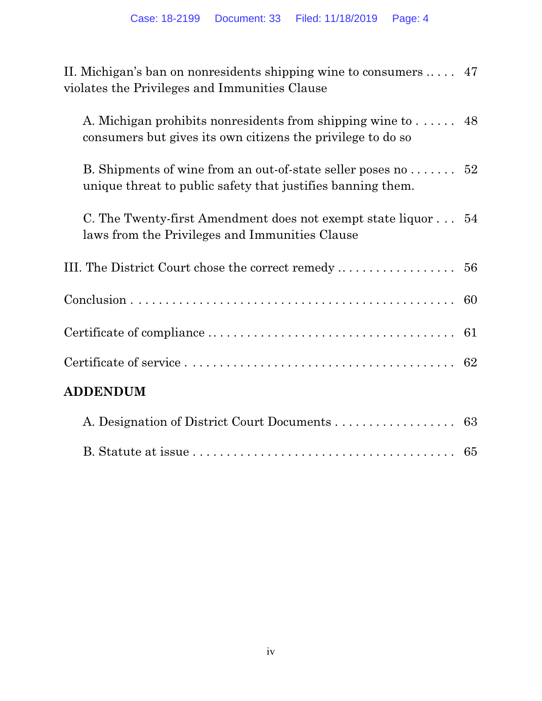| II. Michigan's ban on nonresidents shipping wine to consumers $\dots$ 47<br>violates the Privileges and Immunities Clause                 |  |
|-------------------------------------------------------------------------------------------------------------------------------------------|--|
| A. Michigan prohibits nonresidents from shipping wine to 48<br>consumers but gives its own citizens the privilege to do so                |  |
| B. Shipments of wine from an out-of-state seller poses no $\dots \dots$ 52<br>unique threat to public safety that justifies banning them. |  |
| C. The Twenty-first Amendment does not exempt state liquor 54<br>laws from the Privileges and Immunities Clause                           |  |
|                                                                                                                                           |  |
|                                                                                                                                           |  |
|                                                                                                                                           |  |
|                                                                                                                                           |  |
| <b>ADDENDUM</b>                                                                                                                           |  |
| A. Designation of District Court Documents 63                                                                                             |  |
|                                                                                                                                           |  |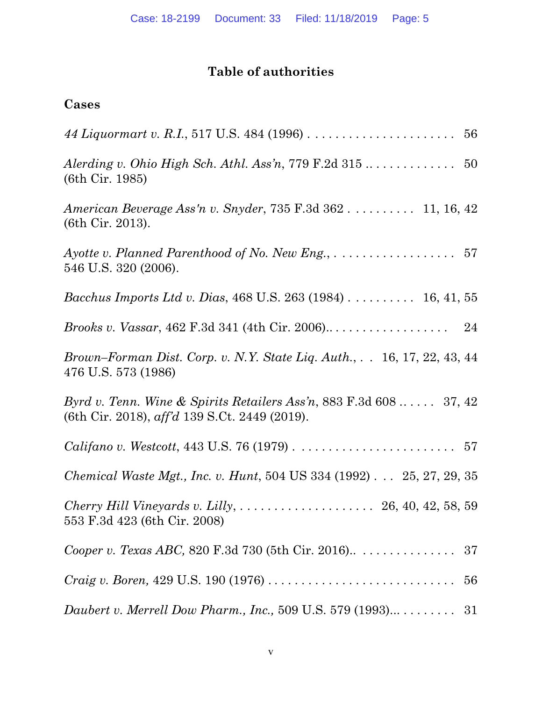# **Table of authorities**

# **Cases**

| $(6th$ Cir. 1985)                                                                                                           |  |
|-----------------------------------------------------------------------------------------------------------------------------|--|
| American Beverage Ass'n v. Snyder, 735 F.3d 362 11, 16, 42<br>(6th Cir. 2013).                                              |  |
| Ayotte v. Planned Parenthood of No. New Eng., $\dots \dots \dots \dots \dots \dots \dots$ 57<br>546 U.S. 320 (2006).        |  |
| Bacchus Imports Ltd v. Dias, 468 U.S. 263 (1984) 16, 41, 55                                                                 |  |
|                                                                                                                             |  |
| Brown-Forman Dist. Corp. v. N.Y. State Liq. Auth., 16, 17, 22, 43, 44<br>476 U.S. 573 (1986)                                |  |
| Byrd v. Tenn. Wine & Spirits Retailers Ass'n, 883 F.3d $608$ 37, 42<br>(6th Cir. 2018), $\alpha f/d$ 139 S.Ct. 2449 (2019). |  |
| <i>Califano v. Westcott,</i> 443 U.S. 76 (1979) $\ldots \ldots \ldots \ldots \ldots \ldots \ldots \ldots 57$                |  |
| <i>Chemical Waste Mgt., Inc. v. Hunt,</i> 504 US 334 (1992) 25, 27, 29, 35                                                  |  |
| 553 F.3d 423 (6th Cir. 2008)                                                                                                |  |
|                                                                                                                             |  |
| <i>Craig v. Boren,</i> 429 U.S. 190 (1976) $\ldots \ldots \ldots \ldots \ldots \ldots \ldots \ldots \ldots$<br>56           |  |
| Daubert v. Merrell Dow Pharm., Inc., 509 U.S. 579 $(1993)$<br>31                                                            |  |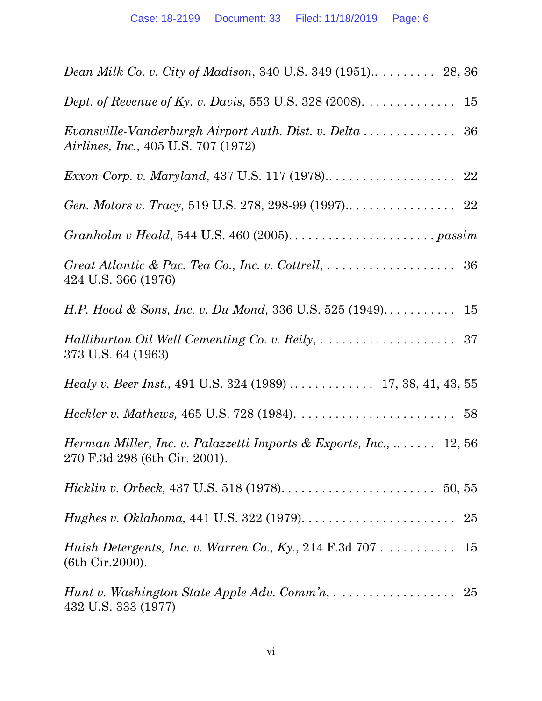| Dept. of Revenue of Ky. v. Davis, 553 U.S. 328 (2008). $\dots \dots \dots$<br>15                                            |
|-----------------------------------------------------------------------------------------------------------------------------|
| Evansville-Vanderburgh Airport Auth. Dist. v. Delta $\ldots \ldots \ldots \ldots$ 36<br>Airlines, Inc., 405 U.S. 707 (1972) |
|                                                                                                                             |
|                                                                                                                             |
| $Grapholm v Headd, 544 U.S. 460 (2005) \ldots \ldots \ldots \ldots \ldots \ldots \ldots \text{passim}$                      |
| 424 U.S. 366 (1976)                                                                                                         |
|                                                                                                                             |
| 373 U.S. 64 (1963)                                                                                                          |
|                                                                                                                             |
|                                                                                                                             |
| Herman Miller, Inc. v. Palazzetti Imports & Exports, Inc., $\ldots \ldots$ 12, 56<br>270 F.3d 298 (6th Cir. 2001).          |
| <i>Hicklin v. Orbeck</i> , 437 U.S. 518 (1978). $\dots \dots \dots \dots \dots \dots \dots \dots \dots 50, 55$              |
|                                                                                                                             |
| Huish Detergents, Inc. v. Warren Co., Ky., 214 F.3d 707 15<br>(6th Cir. 2000).                                              |
| 432 U.S. 333 (1977)                                                                                                         |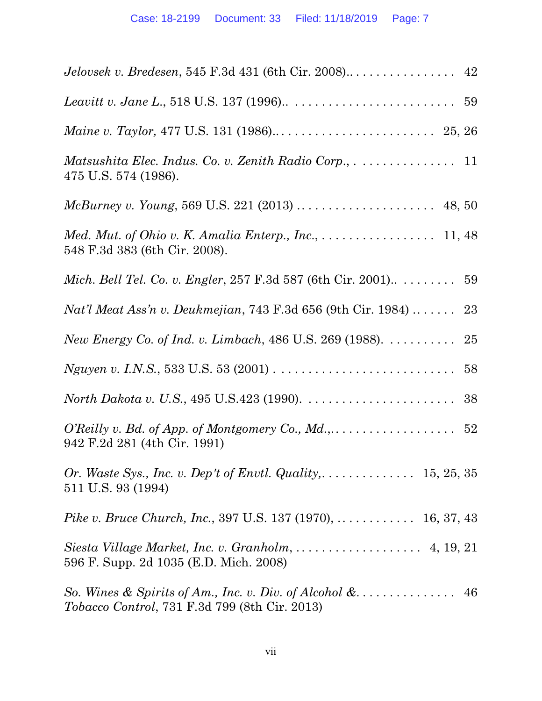| Matsushita Elec. Indus. Co. v. Zenith Radio Corp., 11<br>475 U.S. 574 (1986).                                          |
|------------------------------------------------------------------------------------------------------------------------|
|                                                                                                                        |
| Med. Mut. of Ohio v. K. Amalia Enterp., Inc., 11, 48<br>548 F.3d 383 (6th Cir. 2008).                                  |
|                                                                                                                        |
| Nat'l Meat Ass'n v. Deukmejian, 743 F.3d 656 (9th Cir. 1984)  23                                                       |
| New Energy Co. of Ind. v. Limbach, 486 U.S. 269 (1988). 25                                                             |
|                                                                                                                        |
|                                                                                                                        |
| 942 F.2d 281 (4th Cir. 1991)                                                                                           |
| 511 U.S. 93 (1994)                                                                                                     |
| Pike v. Bruce Church, Inc., 397 U.S. 137 (1970),  16, 37, 43                                                           |
| 596 F. Supp. 2d 1035 (E.D. Mich. 2008)                                                                                 |
| So. Wines & Spirits of Am., Inc. v. Div. of Alcohol $\&$<br>46<br><i>Tobacco Control, 731 F.3d 799 (8th Cir. 2013)</i> |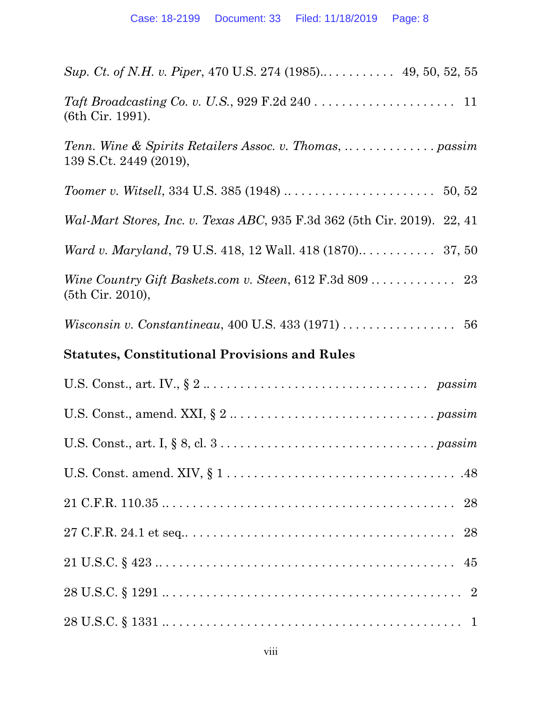| Sup. Ct. of N.H. v. Piper, 470 U.S. 274 (1985) 49, 50, 52, 55                                                |
|--------------------------------------------------------------------------------------------------------------|
| (6th Cir. 1991).                                                                                             |
| 139 S.Ct. 2449 (2019),                                                                                       |
|                                                                                                              |
| Wal-Mart Stores, Inc. v. Texas ABC, 935 F.3d 362 (5th Cir. 2019). 22, 41                                     |
|                                                                                                              |
| (5th Cir. 2010),                                                                                             |
|                                                                                                              |
| <b>Statutes, Constitutional Provisions and Rules</b>                                                         |
| U.S. Const., art. IV., $\S 2 \dots \dots \dots \dots \dots \dots \dots \dots \dots \dots \dots \dots$ passim |
| U.S. Const., amend. XXI, $\S 2 \ldots \ldots \ldots \ldots \ldots \ldots \ldots \ldots \ldots \ldots$        |
|                                                                                                              |
|                                                                                                              |
|                                                                                                              |
|                                                                                                              |
|                                                                                                              |
|                                                                                                              |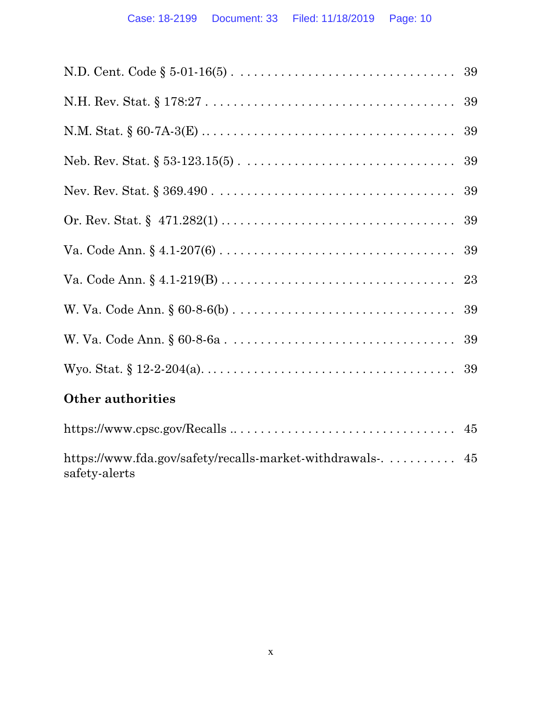| Other authorities                                                           |
|-----------------------------------------------------------------------------|
|                                                                             |
| https://www.fda.gov/safety/recalls-market-withdrawals-. 45<br>safety-alerts |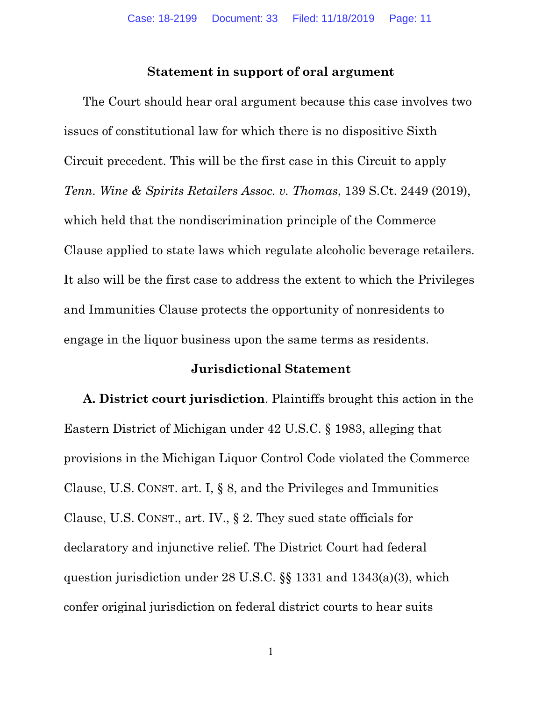#### **Statement in support of oral argument**

The Court should hear oral argument because this case involves two issues of constitutional law for which there is no dispositive Sixth Circuit precedent. This will be the first case in this Circuit to apply *Tenn. Wine & Spirits Retailers Assoc. v. Thomas*, 139 S.Ct. 2449 (2019), which held that the nondiscrimination principle of the Commerce Clause applied to state laws which regulate alcoholic beverage retailers. It also will be the first case to address the extent to which the Privileges and Immunities Clause protects the opportunity of nonresidents to engage in the liquor business upon the same terms as residents.

#### **Jurisdictional Statement**

**A. District court jurisdiction**. Plaintiffs brought this action in the Eastern District of Michigan under 42 U.S.C. § 1983, alleging that provisions in the Michigan Liquor Control Code violated the Commerce Clause, U.S. CONST. art. I, § 8, and the Privileges and Immunities Clause, U.S. CONST., art. IV., § 2. They sued state officials for declaratory and injunctive relief. The District Court had federal question jurisdiction under 28 U.S.C. §§ 1331 and 1343(a)(3), which confer original jurisdiction on federal district courts to hear suits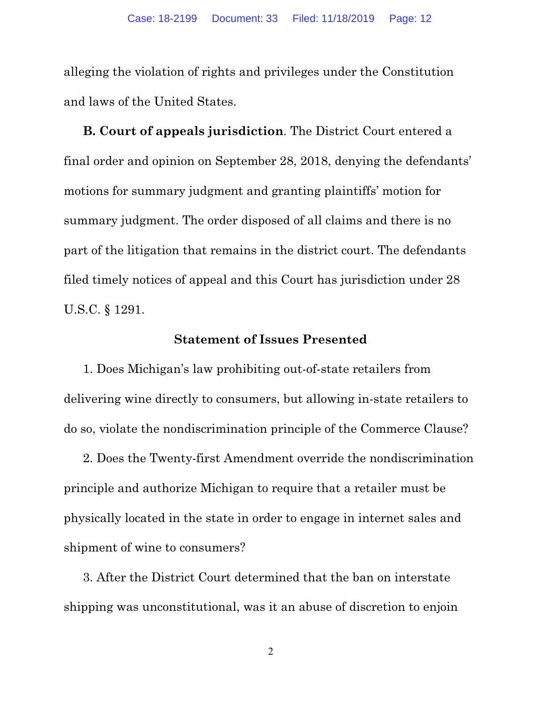alleging the violation of rights and privileges under the Constitution and laws of the United States.

**B. Court of appeals jurisdiction**. The District Court entered a final order and opinion on September 28, 2018, denying the defendants' motions for summary judgment and granting plaintiffs' motion for summary judgment. The order disposed of all claims and there is no part of the litigation that remains in the district court. The defendants filed timely notices of appeal and this Court has jurisdiction under 28 U.S.C. § 1291.

#### **Statement of Issues Presented**

1. Does Michigan's law prohibiting out-of-state retailers from delivering wine directly to consumers, but allowing in-state retailers to do so, violate the nondiscrimination principle of the Commerce Clause?

2. Does the Twenty-first Amendment override the nondiscrimination principle and authorize Michigan to require that a retailer must be physically located in the state in order to engage in internet sales and shipment of wine to consumers?

3. After the District Court determined that the ban on interstate shipping was unconstitutional, was it an abuse of discretion to enjoin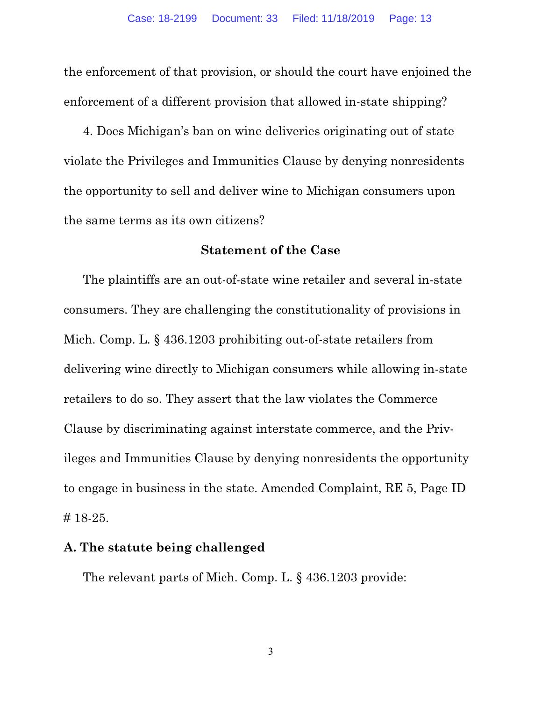the enforcement of that provision, or should the court have enjoined the enforcement of a different provision that allowed in-state shipping?

4. Does Michigan's ban on wine deliveries originating out of state violate the Privileges and Immunities Clause by denying nonresidents the opportunity to sell and deliver wine to Michigan consumers upon the same terms as its own citizens?

#### **Statement of the Case**

The plaintiffs are an out-of-state wine retailer and several in-state consumers. They are challenging the constitutionality of provisions in Mich. Comp. L. § 436.1203 prohibiting out-of-state retailers from delivering wine directly to Michigan consumers while allowing in-state retailers to do so. They assert that the law violates the Commerce Clause by discriminating against interstate commerce, and the Privileges and Immunities Clause by denying nonresidents the opportunity to engage in business in the state. Amended Complaint, RE 5, Page ID # 18-25.

#### **A. The statute being challenged**

The relevant parts of Mich. Comp. L. § 436.1203 provide: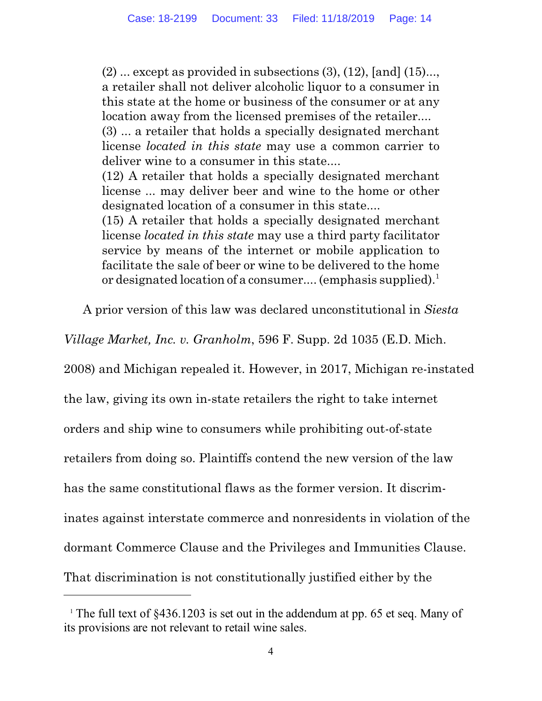$(2)$  ... except as provided in subsections  $(3)$ ,  $(12)$ , [and]  $(15)$ ..., a retailer shall not deliver alcoholic liquor to a consumer in this state at the home or business of the consumer or at any location away from the licensed premises of the retailer.... (3) ... a retailer that holds a specially designated merchant license *located in this state* may use a common carrier to deliver wine to a consumer in this state.... (12) A retailer that holds a specially designated merchant license ... may deliver beer and wine to the home or other designated location of a consumer in this state.... (15) A retailer that holds a specially designated merchant

license *located in this state* may use a third party facilitator service by means of the internet or mobile application to facilitate the sale of beer or wine to be delivered to the home or designated location of a consumer.... (emphasis supplied).<sup>1</sup>

A prior version of this law was declared unconstitutional in *Siesta*

*Village Market, Inc. v. Granholm*, 596 F. Supp. 2d 1035 (E.D. Mich.

2008) and Michigan repealed it. However, in 2017, Michigan re-instated

the law, giving its own in-state retailers the right to take internet

orders and ship wine to consumers while prohibiting out-of-state

retailers from doing so. Plaintiffs contend the new version of the law

has the same constitutional flaws as the former version. It discrim-

inates against interstate commerce and nonresidents in violation of the

dormant Commerce Clause and the Privileges and Immunities Clause.

That discrimination is not constitutionally justified either by the

<sup>&</sup>lt;sup>1</sup> The full text of  $§436.1203$  is set out in the addendum at pp. 65 et seq. Many of its provisions are not relevant to retail wine sales.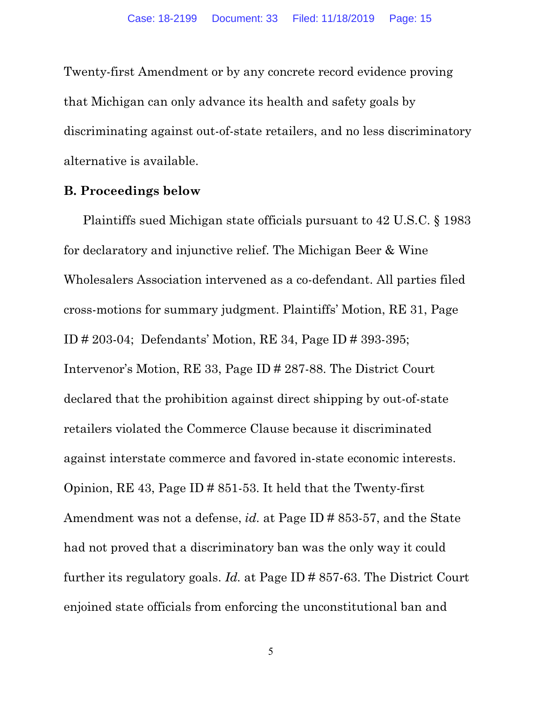Twenty-first Amendment or by any concrete record evidence proving that Michigan can only advance its health and safety goals by discriminating against out-of-state retailers, and no less discriminatory alternative is available.

## **B. Proceedings below**

Plaintiffs sued Michigan state officials pursuant to 42 U.S.C. § 1983 for declaratory and injunctive relief. The Michigan Beer & Wine Wholesalers Association intervened as a co-defendant. All parties filed cross-motions for summary judgment. Plaintiffs' Motion, RE 31, Page ID # 203-04; Defendants' Motion, RE 34, Page ID # 393-395; Intervenor's Motion, RE 33, Page ID # 287-88. The District Court declared that the prohibition against direct shipping by out-of-state retailers violated the Commerce Clause because it discriminated against interstate commerce and favored in-state economic interests. Opinion, RE 43, Page ID # 851-53. It held that the Twenty-first Amendment was not a defense, *id.* at Page ID # 853-57, and the State had not proved that a discriminatory ban was the only way it could further its regulatory goals. *Id.* at Page ID # 857-63. The District Court enjoined state officials from enforcing the unconstitutional ban and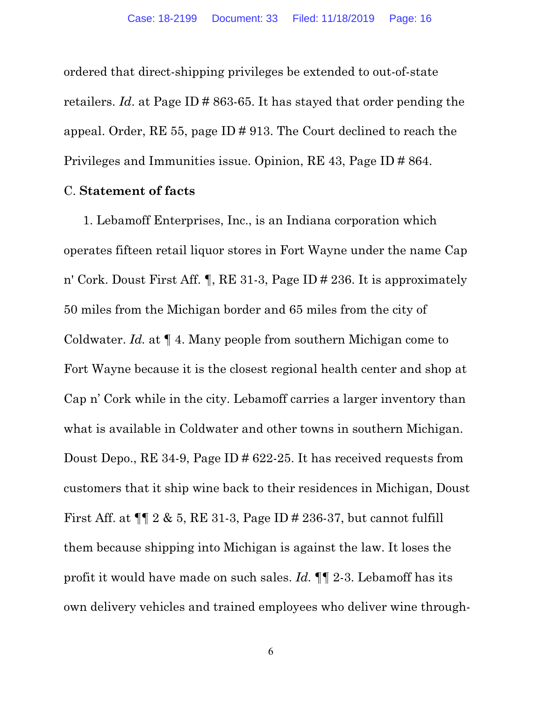ordered that direct-shipping privileges be extended to out-of-state retailers. *Id*. at Page ID # 863-65. It has stayed that order pending the appeal. Order, RE 55, page ID # 913. The Court declined to reach the Privileges and Immunities issue. Opinion, RE 43, Page ID # 864.

## C. **Statement of facts**

1. Lebamoff Enterprises, Inc., is an Indiana corporation which operates fifteen retail liquor stores in Fort Wayne under the name Cap n' Cork. Doust First Aff. ¶, RE 31-3, Page ID # 236. It is approximately 50 miles from the Michigan border and 65 miles from the city of Coldwater. *Id.* at ¶ 4. Many people from southern Michigan come to Fort Wayne because it is the closest regional health center and shop at Cap n' Cork while in the city. Lebamoff carries a larger inventory than what is available in Coldwater and other towns in southern Michigan. Doust Depo., RE 34-9, Page ID # 622-25. It has received requests from customers that it ship wine back to their residences in Michigan, Doust First Aff. at ¶¶ 2 & 5, RE 31-3, Page ID # 236-37, but cannot fulfill them because shipping into Michigan is against the law. It loses the profit it would have made on such sales. *Id.* ¶¶ 2-3. Lebamoff has its own delivery vehicles and trained employees who deliver wine through-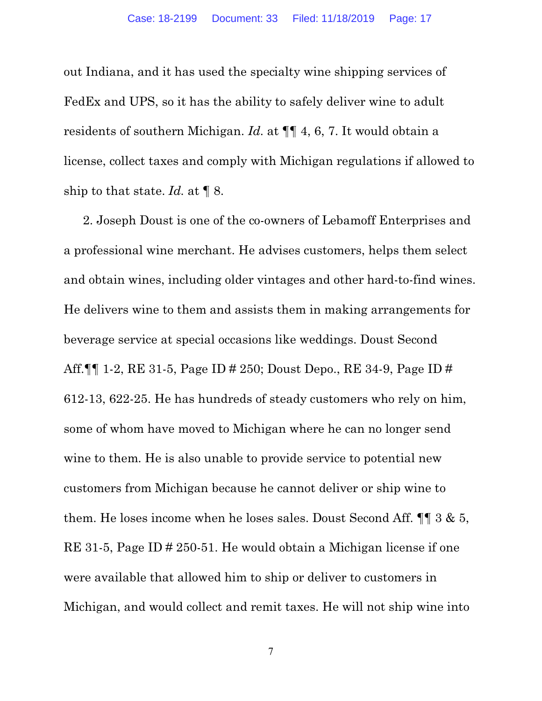out Indiana, and it has used the specialty wine shipping services of FedEx and UPS, so it has the ability to safely deliver wine to adult residents of southern Michigan. *Id.* at ¶¶ 4, 6, 7. It would obtain a license, collect taxes and comply with Michigan regulations if allowed to ship to that state. *Id.* at ¶ 8.

2. Joseph Doust is one of the co-owners of Lebamoff Enterprises and a professional wine merchant. He advises customers, helps them select and obtain wines, including older vintages and other hard-to-find wines. He delivers wine to them and assists them in making arrangements for beverage service at special occasions like weddings. Doust Second Aff.¶¶ 1-2, RE 31-5, Page ID # 250; Doust Depo., RE 34-9, Page ID # 612-13, 622-25. He has hundreds of steady customers who rely on him, some of whom have moved to Michigan where he can no longer send wine to them. He is also unable to provide service to potential new customers from Michigan because he cannot deliver or ship wine to them. He loses income when he loses sales. Doust Second Aff. ¶¶ 3 & 5, RE 31-5, Page ID # 250-51. He would obtain a Michigan license if one were available that allowed him to ship or deliver to customers in Michigan, and would collect and remit taxes. He will not ship wine into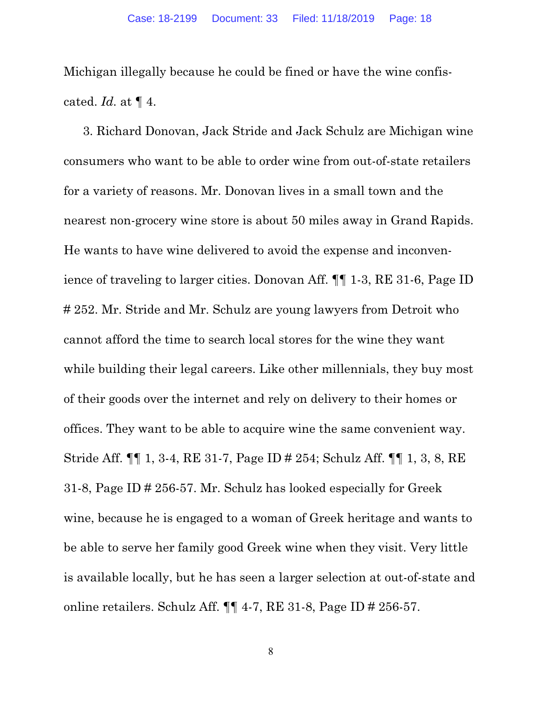Michigan illegally because he could be fined or have the wine confiscated. *Id.* at ¶ 4.

3. Richard Donovan, Jack Stride and Jack Schulz are Michigan wine consumers who want to be able to order wine from out-of-state retailers for a variety of reasons. Mr. Donovan lives in a small town and the nearest non-grocery wine store is about 50 miles away in Grand Rapids. He wants to have wine delivered to avoid the expense and inconvenience of traveling to larger cities. Donovan Aff. ¶¶ 1-3, RE 31-6, Page ID # 252. Mr. Stride and Mr. Schulz are young lawyers from Detroit who cannot afford the time to search local stores for the wine they want while building their legal careers. Like other millennials, they buy most of their goods over the internet and rely on delivery to their homes or offices. They want to be able to acquire wine the same convenient way. Stride Aff. ¶¶ 1, 3-4, RE 31-7, Page ID # 254; Schulz Aff. ¶¶ 1, 3, 8, RE 31-8, Page ID # 256-57. Mr. Schulz has looked especially for Greek wine, because he is engaged to a woman of Greek heritage and wants to be able to serve her family good Greek wine when they visit. Very little is available locally, but he has seen a larger selection at out-of-state and online retailers. Schulz Aff. ¶¶ 4-7, RE 31-8, Page ID # 256-57.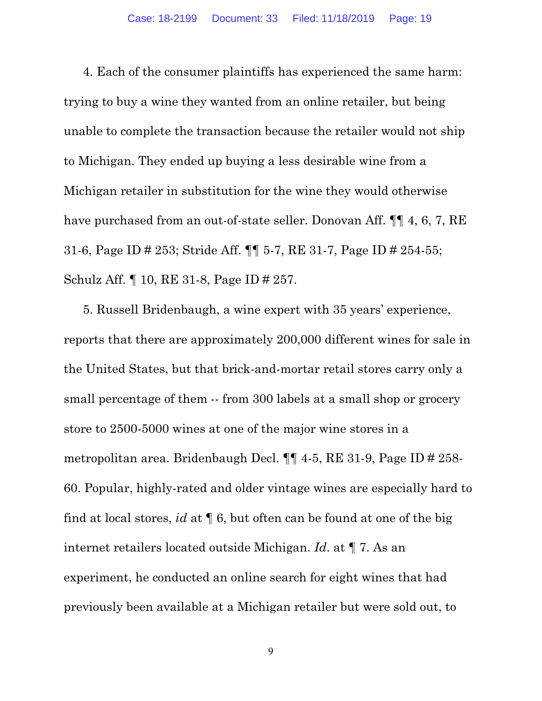4. Each of the consumer plaintiffs has experienced the same harm: trying to buy a wine they wanted from an online retailer, but being unable to complete the transaction because the retailer would not ship to Michigan. They ended up buying a less desirable wine from a Michigan retailer in substitution for the wine they would otherwise have purchased from an out-of-state seller. Donovan Aff.  $\P\P$  4, 6, 7, RE 31-6, Page ID # 253; Stride Aff. ¶¶ 5-7, RE 31-7, Page ID # 254-55; Schulz Aff. ¶ 10, RE 31-8, Page ID # 257.

5. Russell Bridenbaugh, a wine expert with 35 years' experience, reports that there are approximately 200,000 different wines for sale in the United States, but that brick-and-mortar retail stores carry only a small percentage of them -- from 300 labels at a small shop or grocery store to 2500-5000 wines at one of the major wine stores in a metropolitan area. Bridenbaugh Decl. ¶¶ 4-5, RE 31-9, Page ID # 258- 60. Popular, highly-rated and older vintage wines are especially hard to find at local stores, *id* at ¶ 6, but often can be found at one of the big internet retailers located outside Michigan. *Id*. at ¶ 7. As an experiment, he conducted an online search for eight wines that had previously been available at a Michigan retailer but were sold out, to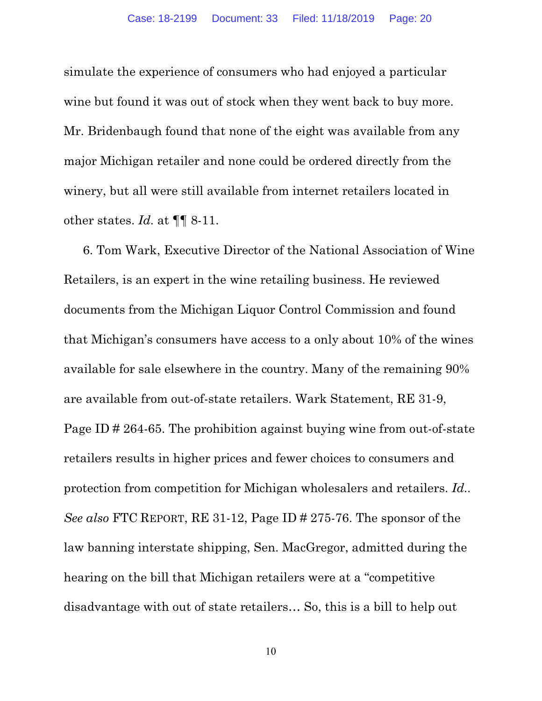simulate the experience of consumers who had enjoyed a particular wine but found it was out of stock when they went back to buy more. Mr. Bridenbaugh found that none of the eight was available from any major Michigan retailer and none could be ordered directly from the winery, but all were still available from internet retailers located in other states. *Id.* at ¶¶ 8-11.

6. Tom Wark, Executive Director of the National Association of Wine Retailers, is an expert in the wine retailing business. He reviewed documents from the Michigan Liquor Control Commission and found that Michigan's consumers have access to a only about 10% of the wines available for sale elsewhere in the country. Many of the remaining 90% are available from out-of-state retailers. Wark Statement, RE 31-9, Page ID # 264-65. The prohibition against buying wine from out-of-state retailers results in higher prices and fewer choices to consumers and protection from competition for Michigan wholesalers and retailers. *Id.. See also* FTC REPORT, RE 31-12, Page ID # 275-76. The sponsor of the law banning interstate shipping, Sen. MacGregor, admitted during the hearing on the bill that Michigan retailers were at a "competitive disadvantage with out of state retailers… So, this is a bill to help out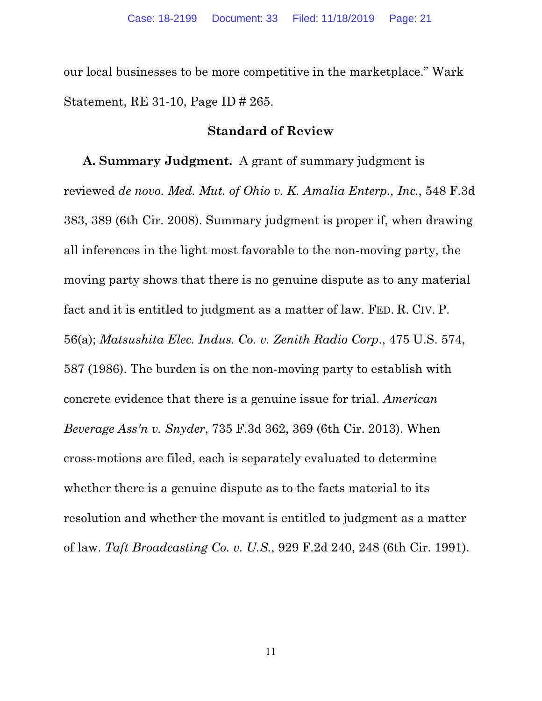our local businesses to be more competitive in the marketplace." Wark Statement, RE 31-10, Page ID # 265.

## **Standard of Review**

**A. Summary Judgment.** A grant of summary judgment is reviewed *de novo. Med. Mut. of Ohio v. K. Amalia Enterp., Inc.*, 548 F.3d 383, 389 (6th Cir. 2008). Summary judgment is proper if, when drawing all inferences in the light most favorable to the non-moving party, the moving party shows that there is no genuine dispute as to any material fact and it is entitled to judgment as a matter of law. FED. R. CIV. P. 56(a); *Matsushita Elec. Indus. Co. v. Zenith Radio Corp*., 475 U.S. 574, 587 (1986). The burden is on the non-moving party to establish with concrete evidence that there is a genuine issue for trial. *American Beverage Ass'n v. Snyder*, 735 F.3d 362, 369 (6th Cir. 2013). When cross-motions are filed, each is separately evaluated to determine whether there is a genuine dispute as to the facts material to its resolution and whether the movant is entitled to judgment as a matter of law. *Taft Broadcasting Co. v. U.S.*, 929 F.2d 240, 248 (6th Cir. 1991).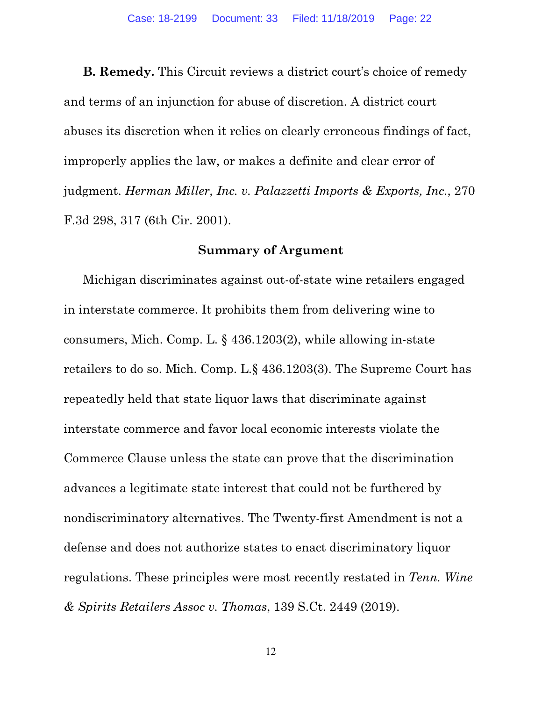**B. Remedy.** This Circuit reviews a district court's choice of remedy and terms of an injunction for abuse of discretion. A district court abuses its discretion when it relies on clearly erroneous findings of fact, improperly applies the law, or makes a definite and clear error of judgment. *Herman Miller, Inc. v. Palazzetti Imports & Exports, Inc*., 270 F.3d 298, 317 (6th Cir. 2001).

## **Summary of Argument**

Michigan discriminates against out-of-state wine retailers engaged in interstate commerce. It prohibits them from delivering wine to consumers, Mich. Comp. L. § 436.1203(2), while allowing in-state retailers to do so. Mich. Comp. L.§ 436.1203(3). The Supreme Court has repeatedly held that state liquor laws that discriminate against interstate commerce and favor local economic interests violate the Commerce Clause unless the state can prove that the discrimination advances a legitimate state interest that could not be furthered by nondiscriminatory alternatives. The Twenty-first Amendment is not a defense and does not authorize states to enact discriminatory liquor regulations. These principles were most recently restated in *Tenn. Wine & Spirits Retailers Assoc v. Thomas*, 139 S.Ct. 2449 (2019).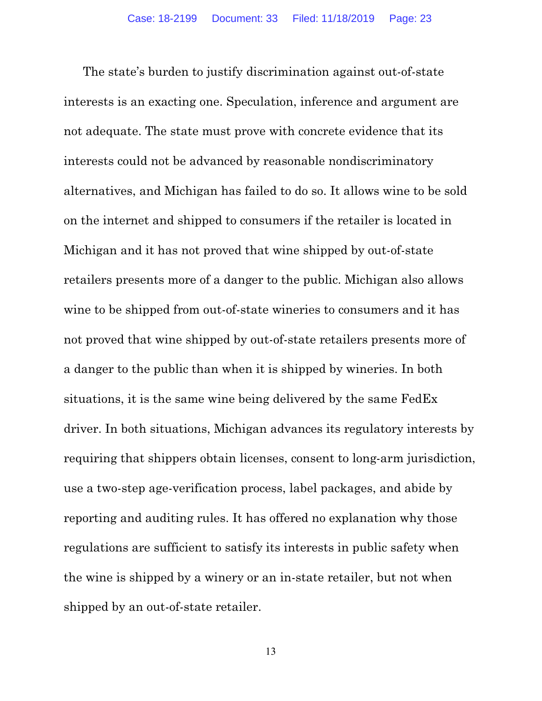The state's burden to justify discrimination against out-of-state interests is an exacting one. Speculation, inference and argument are not adequate. The state must prove with concrete evidence that its interests could not be advanced by reasonable nondiscriminatory alternatives, and Michigan has failed to do so. It allows wine to be sold on the internet and shipped to consumers if the retailer is located in Michigan and it has not proved that wine shipped by out-of-state retailers presents more of a danger to the public. Michigan also allows wine to be shipped from out-of-state wineries to consumers and it has not proved that wine shipped by out-of-state retailers presents more of a danger to the public than when it is shipped by wineries. In both situations, it is the same wine being delivered by the same FedEx driver. In both situations, Michigan advances its regulatory interests by requiring that shippers obtain licenses, consent to long-arm jurisdiction, use a two-step age-verification process, label packages, and abide by reporting and auditing rules. It has offered no explanation why those regulations are sufficient to satisfy its interests in public safety when the wine is shipped by a winery or an in-state retailer, but not when shipped by an out-of-state retailer.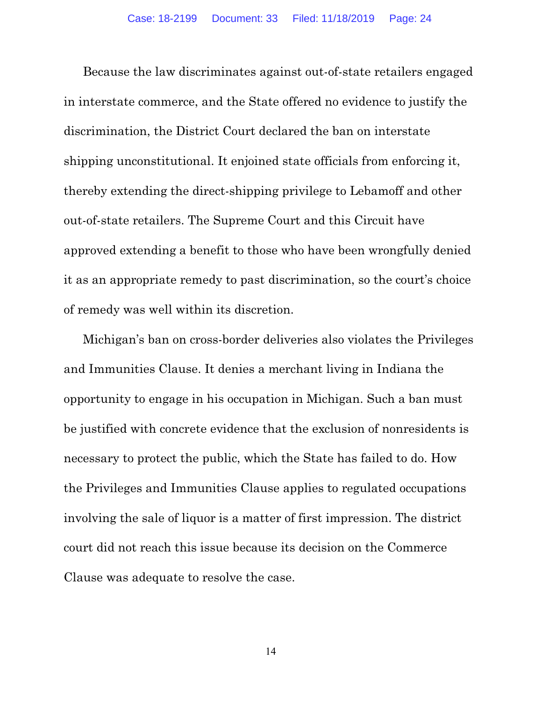Because the law discriminates against out-of-state retailers engaged in interstate commerce, and the State offered no evidence to justify the discrimination, the District Court declared the ban on interstate shipping unconstitutional. It enjoined state officials from enforcing it, thereby extending the direct-shipping privilege to Lebamoff and other out-of-state retailers. The Supreme Court and this Circuit have approved extending a benefit to those who have been wrongfully denied it as an appropriate remedy to past discrimination, so the court's choice of remedy was well within its discretion.

Michigan's ban on cross-border deliveries also violates the Privileges and Immunities Clause. It denies a merchant living in Indiana the opportunity to engage in his occupation in Michigan. Such a ban must be justified with concrete evidence that the exclusion of nonresidents is necessary to protect the public, which the State has failed to do. How the Privileges and Immunities Clause applies to regulated occupations involving the sale of liquor is a matter of first impression. The district court did not reach this issue because its decision on the Commerce Clause was adequate to resolve the case.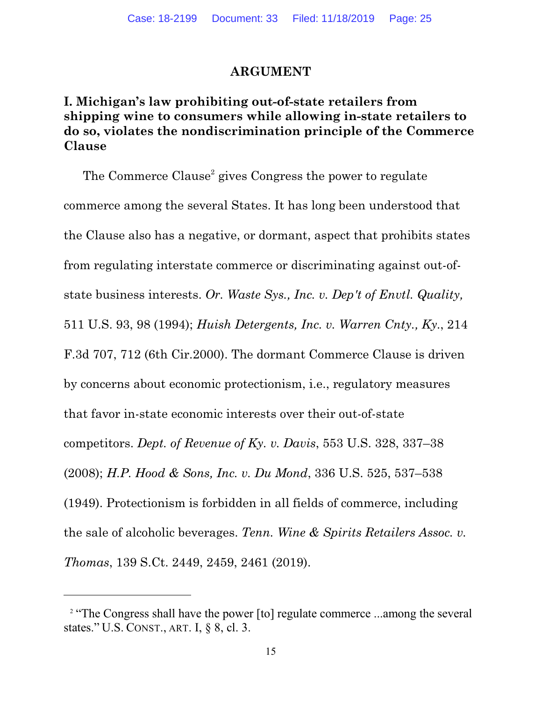### **ARGUMENT**

# **I. Michigan's law prohibiting out-of-state retailers from shipping wine to consumers while allowing in-state retailers to do so, violates the nondiscrimination principle of the Commerce Clause**

The Commerce Clause<sup>2</sup> gives Congress the power to regulate commerce among the several States. It has long been understood that the Clause also has a negative, or dormant, aspect that prohibits states from regulating interstate commerce or discriminating against out-ofstate business interests. *Or. Waste Sys., Inc. v. Dep't of Envtl. Quality,* 511 U.S. 93, 98 (1994); *Huish Detergents, Inc. v. Warren Cnty., Ky.*, 214 F.3d 707, 712 (6th Cir.2000). The dormant Commerce Clause is driven by concerns about economic protectionism, i.e., regulatory measures that favor in-state economic interests over their out-of-state competitors. *Dept. of Revenue of Ky. v. Davis*, 553 U.S. 328, 337–38 (2008); *H.P. Hood & Sons, Inc. v. Du Mond*, 336 U.S. 525, 537–538 (1949). Protectionism is forbidden in all fields of commerce, including the sale of alcoholic beverages. *Tenn. Wine & Spirits Retailers Assoc. v. Thomas*, 139 S.Ct. 2449, 2459, 2461 (2019).

<sup>&</sup>lt;sup>2</sup> "The Congress shall have the power [to] regulate commerce ...among the several states." U.S. CONST., ART. I, § 8, cl. 3.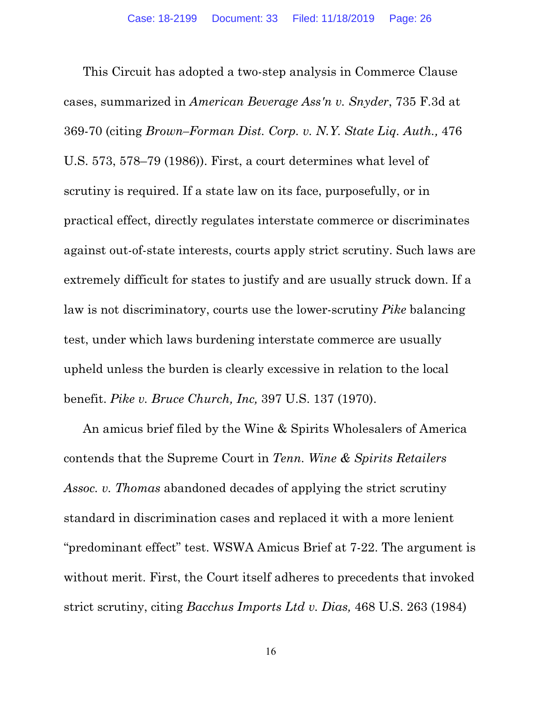This Circuit has adopted a two-step analysis in Commerce Clause cases, summarized in *American Beverage Ass'n v. Snyder*, 735 F.3d at 369-70 (citing *Brown–Forman Dist. Corp. v. N.Y. State Liq. Auth.,* 476 U.S. 573, 578–79 (1986)). First, a court determines what level of scrutiny is required. If a state law on its face, purposefully, or in practical effect, directly regulates interstate commerce or discriminates against out-of-state interests, courts apply strict scrutiny. Such laws are extremely difficult for states to justify and are usually struck down. If a law is not discriminatory, courts use the lower-scrutiny *Pike* balancing test, under which laws burdening interstate commerce are usually upheld unless the burden is clearly excessive in relation to the local benefit. *Pike v. Bruce Church, Inc,* 397 U.S. 137 (1970).

An amicus brief filed by the Wine & Spirits Wholesalers of America contends that the Supreme Court in *Tenn. Wine & Spirits Retailers Assoc. v. Thomas* abandoned decades of applying the strict scrutiny standard in discrimination cases and replaced it with a more lenient "predominant effect" test. WSWA Amicus Brief at 7-22. The argument is without merit. First, the Court itself adheres to precedents that invoked strict scrutiny, citing *Bacchus Imports Ltd v. Dias,* 468 U.S. 263 (1984)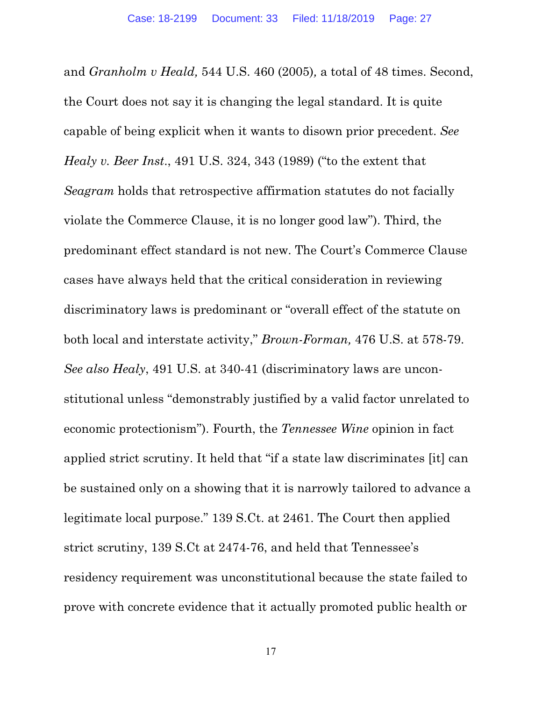and *Granholm v Heald,* 544 U.S. 460 (2005)*,* a total of 48 times. Second, the Court does not say it is changing the legal standard. It is quite capable of being explicit when it wants to disown prior precedent. *See Healy v. Beer Inst*., 491 U.S. 324, 343 (1989) ("to the extent that *Seagram* holds that retrospective affirmation statutes do not facially violate the Commerce Clause, it is no longer good law"). Third, the predominant effect standard is not new. The Court's Commerce Clause cases have always held that the critical consideration in reviewing discriminatory laws is predominant or "overall effect of the statute on both local and interstate activity," *Brown-Forman,* 476 U.S. at 578-79. *See also Healy*, 491 U.S. at 340-41 (discriminatory laws are unconstitutional unless "demonstrably justified by a valid factor unrelated to economic protectionism"). Fourth, the *Tennessee Wine* opinion in fact applied strict scrutiny. It held that "if a state law discriminates [it] can be sustained only on a showing that it is narrowly tailored to advance a legitimate local purpose." 139 S.Ct. at 2461. The Court then applied strict scrutiny, 139 S.Ct at 2474-76, and held that Tennessee's residency requirement was unconstitutional because the state failed to prove with concrete evidence that it actually promoted public health or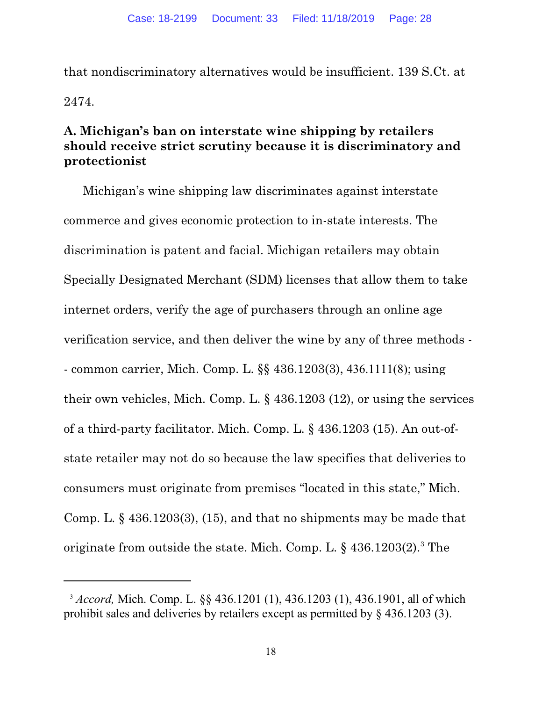that nondiscriminatory alternatives would be insufficient. 139 S.Ct. at 2474.

# **A. Michigan's ban on interstate wine shipping by retailers should receive strict scrutiny because it is discriminatory and protectionist**

Michigan's wine shipping law discriminates against interstate commerce and gives economic protection to in-state interests. The discrimination is patent and facial. Michigan retailers may obtain Specially Designated Merchant (SDM) licenses that allow them to take internet orders, verify the age of purchasers through an online age verification service, and then deliver the wine by any of three methods - - common carrier, Mich. Comp. L. §§ 436.1203(3), 436.1111(8); using their own vehicles, Mich. Comp. L. § 436.1203 (12), or using the services of a third-party facilitator. Mich. Comp. L. § 436.1203 (15). An out-ofstate retailer may not do so because the law specifies that deliveries to consumers must originate from premises "located in this state," Mich. Comp. L. § 436.1203(3), (15), and that no shipments may be made that originate from outside the state. Mich. Comp. L.  $\S~436.1203(2).$ <sup>3</sup> The

<sup>3</sup> *Accord,* Mich. Comp. L. §§ 436.1201 (1), 436.1203 (1), 436.1901, all of which prohibit sales and deliveries by retailers except as permitted by § 436.1203 (3).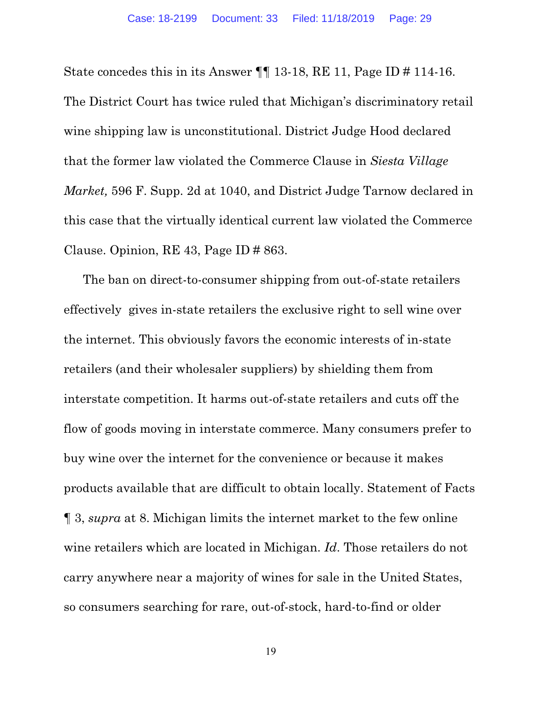State concedes this in its Answer ¶¶ 13-18, RE 11, Page ID # 114-16. The District Court has twice ruled that Michigan's discriminatory retail wine shipping law is unconstitutional. District Judge Hood declared that the former law violated the Commerce Clause in *Siesta Village Market,* 596 F. Supp. 2d at 1040, and District Judge Tarnow declared in this case that the virtually identical current law violated the Commerce Clause. Opinion, RE 43, Page ID # 863.

The ban on direct-to-consumer shipping from out-of-state retailers effectively gives in-state retailers the exclusive right to sell wine over the internet. This obviously favors the economic interests of in-state retailers (and their wholesaler suppliers) by shielding them from interstate competition. It harms out-of-state retailers and cuts off the flow of goods moving in interstate commerce. Many consumers prefer to buy wine over the internet for the convenience or because it makes products available that are difficult to obtain locally. Statement of Facts ¶ 3, *supra* at 8. Michigan limits the internet market to the few online wine retailers which are located in Michigan. *Id*. Those retailers do not carry anywhere near a majority of wines for sale in the United States, so consumers searching for rare, out-of-stock, hard-to-find or older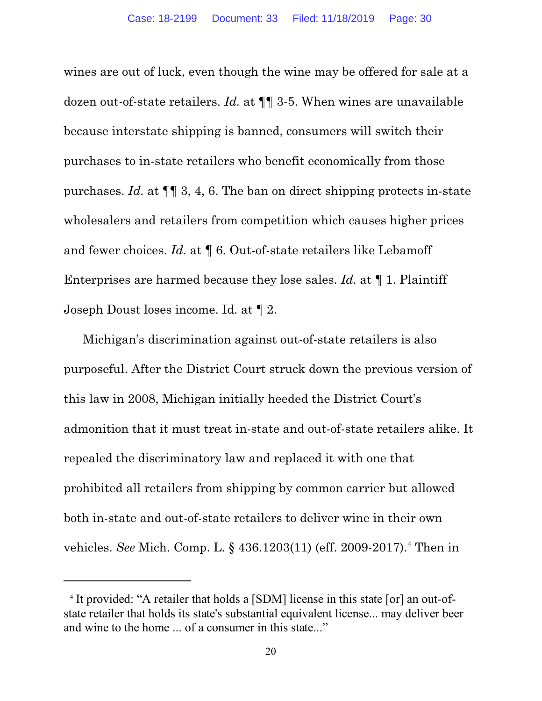wines are out of luck, even though the wine may be offered for sale at a dozen out-of-state retailers. *Id.* at ¶¶ 3-5. When wines are unavailable because interstate shipping is banned, consumers will switch their purchases to in-state retailers who benefit economically from those purchases. *Id.* at ¶¶ 3, 4, 6. The ban on direct shipping protects in-state wholesalers and retailers from competition which causes higher prices and fewer choices. *Id.* at  $\P$  6. Out-of-state retailers like Lebamoff Enterprises are harmed because they lose sales. *Id.* at ¶ 1. Plaintiff Joseph Doust loses income. Id. at ¶ 2.

Michigan's discrimination against out-of-state retailers is also purposeful. After the District Court struck down the previous version of this law in 2008, Michigan initially heeded the District Court's admonition that it must treat in-state and out-of-state retailers alike. It repealed the discriminatory law and replaced it with one that prohibited all retailers from shipping by common carrier but allowed both in-state and out-of-state retailers to deliver wine in their own vehicles. *See* Mich. Comp. L. § 436.1203(11) (eff. 2009-2017).<sup>4</sup> Then in

<sup>4</sup> It provided: "A retailer that holds a [SDM] license in this state [or] an out-ofstate retailer that holds its state's substantial equivalent license... may deliver beer and wine to the home ... of a consumer in this state..."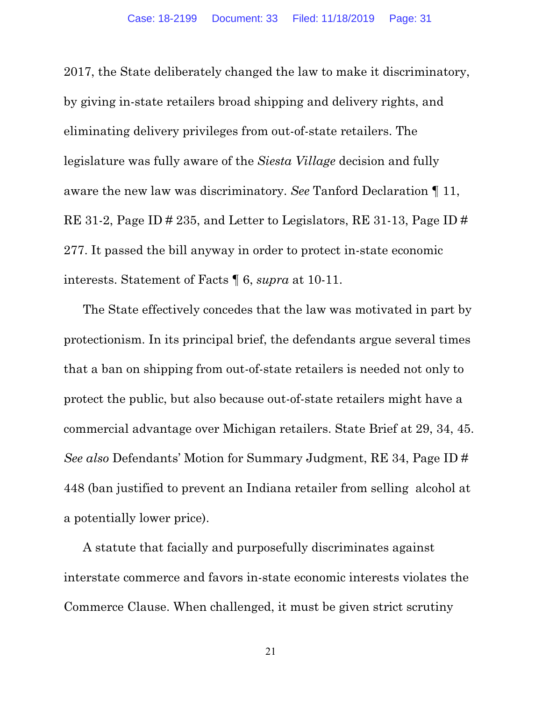2017, the State deliberately changed the law to make it discriminatory, by giving in-state retailers broad shipping and delivery rights, and eliminating delivery privileges from out-of-state retailers. The legislature was fully aware of the *Siesta Village* decision and fully aware the new law was discriminatory. *See* Tanford Declaration ¶ 11, RE 31-2, Page ID # 235, and Letter to Legislators, RE 31-13, Page ID # 277. It passed the bill anyway in order to protect in-state economic interests. Statement of Facts ¶ 6, *supra* at 10-11.

The State effectively concedes that the law was motivated in part by protectionism. In its principal brief, the defendants argue several times that a ban on shipping from out-of-state retailers is needed not only to protect the public, but also because out-of-state retailers might have a commercial advantage over Michigan retailers. State Brief at 29, 34, 45. *See also* Defendants' Motion for Summary Judgment, RE 34, Page ID # 448 (ban justified to prevent an Indiana retailer from selling alcohol at a potentially lower price).

A statute that facially and purposefully discriminates against interstate commerce and favors in-state economic interests violates the Commerce Clause. When challenged, it must be given strict scrutiny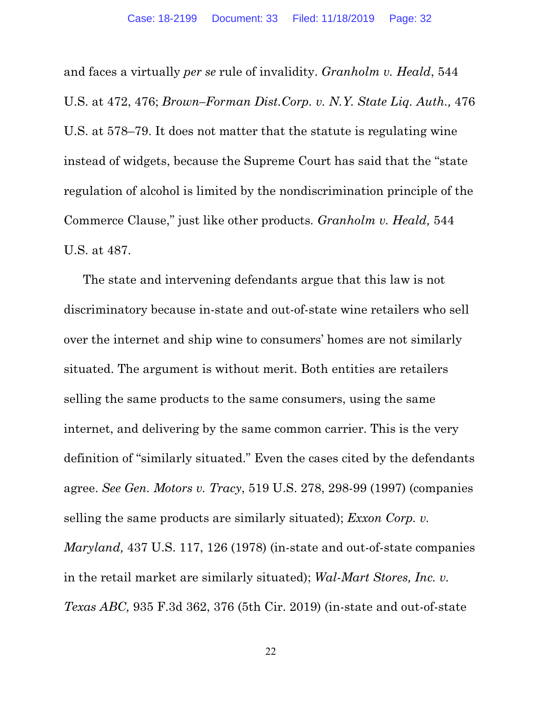and faces a virtually *per se* rule of invalidity. *Granholm v. Heald*, 544 U.S. at 472, 476; *Brown–Forman Dist.Corp. v. N.Y. State Liq. Auth.,* 476 U.S. at 578–79. It does not matter that the statute is regulating wine instead of widgets, because the Supreme Court has said that the "state regulation of alcohol is limited by the nondiscrimination principle of the Commerce Clause," just like other products*. Granholm v. Heald,* 544 U.S. at 487.

The state and intervening defendants argue that this law is not discriminatory because in-state and out-of-state wine retailers who sell over the internet and ship wine to consumers' homes are not similarly situated. The argument is without merit. Both entities are retailers selling the same products to the same consumers, using the same internet, and delivering by the same common carrier. This is the very definition of "similarly situated." Even the cases cited by the defendants agree. *See Gen. Motors v. Tracy*, 519 U.S. 278, 298-99 (1997) (companies selling the same products are similarly situated); *Exxon Corp. v. Maryland,* 437 U.S. 117, 126 (1978) (in-state and out-of-state companies in the retail market are similarly situated); *Wal-Mart Stores, Inc. v. Texas ABC,* 935 F.3d 362, 376 (5th Cir. 2019) (in-state and out-of-state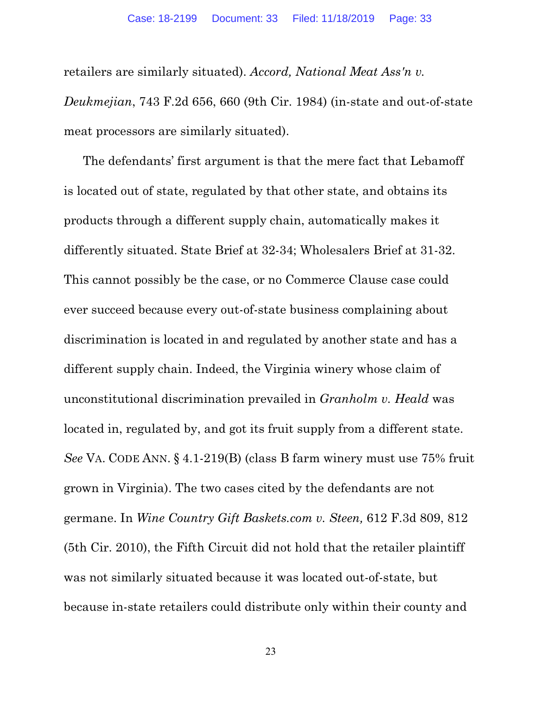retailers are similarly situated). *Accord, National Meat Ass'n v. Deukmejian*, 743 F.2d 656, 660 (9th Cir. 1984) (in-state and out-of-state meat processors are similarly situated).

The defendants' first argument is that the mere fact that Lebamoff is located out of state, regulated by that other state, and obtains its products through a different supply chain, automatically makes it differently situated. State Brief at 32-34; Wholesalers Brief at 31-32. This cannot possibly be the case, or no Commerce Clause case could ever succeed because every out-of-state business complaining about discrimination is located in and regulated by another state and has a different supply chain. Indeed, the Virginia winery whose claim of unconstitutional discrimination prevailed in *Granholm v. Heald* was located in, regulated by, and got its fruit supply from a different state. *See* VA. CODE ANN. § 4.1-219(B) (class B farm winery must use 75% fruit grown in Virginia). The two cases cited by the defendants are not germane. In *Wine Country Gift Baskets.com v. Steen,* 612 F.3d 809, 812 (5th Cir. 2010), the Fifth Circuit did not hold that the retailer plaintiff was not similarly situated because it was located out-of-state, but because in-state retailers could distribute only within their county and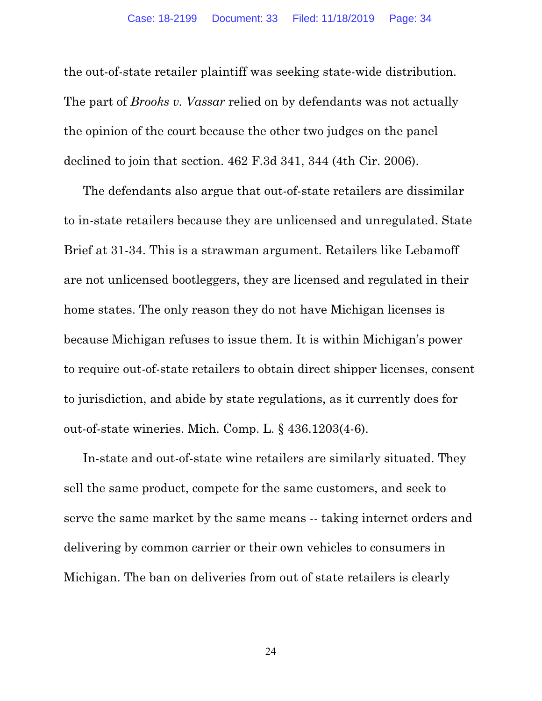the out-of-state retailer plaintiff was seeking state-wide distribution. The part of *Brooks v. Vassar* relied on by defendants was not actually the opinion of the court because the other two judges on the panel declined to join that section. 462 F.3d 341, 344 (4th Cir. 2006).

The defendants also argue that out-of-state retailers are dissimilar to in-state retailers because they are unlicensed and unregulated. State Brief at 31-34. This is a strawman argument. Retailers like Lebamoff are not unlicensed bootleggers, they are licensed and regulated in their home states. The only reason they do not have Michigan licenses is because Michigan refuses to issue them. It is within Michigan's power to require out-of-state retailers to obtain direct shipper licenses, consent to jurisdiction, and abide by state regulations, as it currently does for out-of-state wineries. Mich. Comp. L. § 436.1203(4-6).

In-state and out-of-state wine retailers are similarly situated. They sell the same product, compete for the same customers, and seek to serve the same market by the same means -- taking internet orders and delivering by common carrier or their own vehicles to consumers in Michigan. The ban on deliveries from out of state retailers is clearly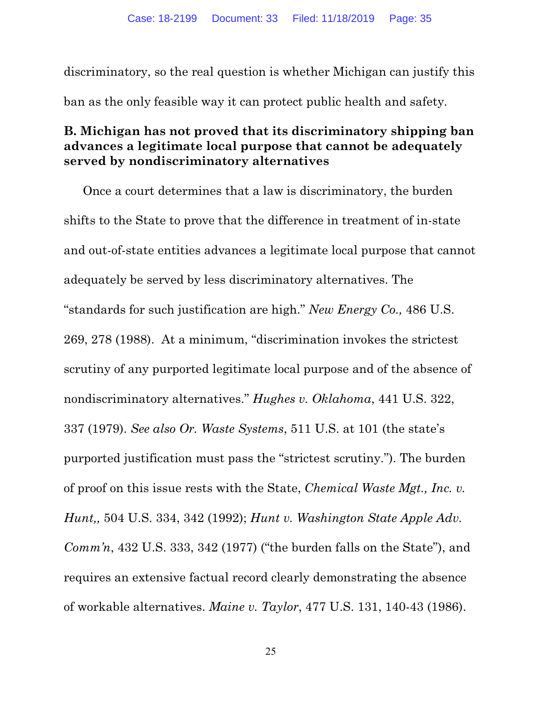discriminatory, so the real question is whether Michigan can justify this ban as the only feasible way it can protect public health and safety.

# **B. Michigan has not proved that its discriminatory shipping ban advances a legitimate local purpose that cannot be adequately served by nondiscriminatory alternatives**

Once a court determines that a law is discriminatory, the burden shifts to the State to prove that the difference in treatment of in-state and out-of-state entities advances a legitimate local purpose that cannot adequately be served by less discriminatory alternatives. The "standards for such justification are high." *New Energy Co.,* 486 U.S. 269, 278 (1988). At a minimum, "discrimination invokes the strictest scrutiny of any purported legitimate local purpose and of the absence of nondiscriminatory alternatives." *Hughes v. Oklahoma*, 441 U.S. 322, 337 (1979). *See also Or. Waste Systems*, 511 U.S. at 101 (the state's purported justification must pass the "strictest scrutiny."). The burden of proof on this issue rests with the State, *Chemical Waste Mgt., Inc. v. Hunt,,* 504 U.S. 334, 342 (1992); *Hunt v. Washington State Apple Adv. Comm'n*, 432 U.S. 333, 342 (1977) ("the burden falls on the State"), and requires an extensive factual record clearly demonstrating the absence of workable alternatives. *Maine v. Taylor*, 477 U.S. 131, 140-43 (1986).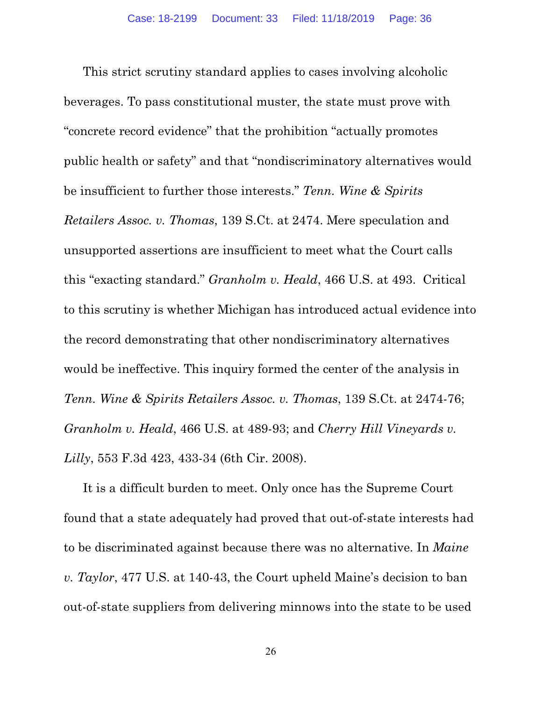This strict scrutiny standard applies to cases involving alcoholic beverages. To pass constitutional muster, the state must prove with "concrete record evidence" that the prohibition "actually promotes public health or safety" and that "nondiscriminatory alternatives would be insufficient to further those interests." *Tenn. Wine & Spirits Retailers Assoc. v. Thomas*, 139 S.Ct. at 2474. Mere speculation and unsupported assertions are insufficient to meet what the Court calls this "exacting standard." *Granholm v. Heald*, 466 U.S. at 493. Critical to this scrutiny is whether Michigan has introduced actual evidence into the record demonstrating that other nondiscriminatory alternatives would be ineffective. This inquiry formed the center of the analysis in *Tenn. Wine & Spirits Retailers Assoc. v. Thomas*, 139 S.Ct. at 2474-76; *Granholm v. Heald*, 466 U.S. at 489-93; and *Cherry Hill Vineyards v. Lilly*, 553 F.3d 423, 433-34 (6th Cir. 2008).

It is a difficult burden to meet. Only once has the Supreme Court found that a state adequately had proved that out-of-state interests had to be discriminated against because there was no alternative. In *Maine v. Taylor*, 477 U.S. at 140-43, the Court upheld Maine's decision to ban out-of-state suppliers from delivering minnows into the state to be used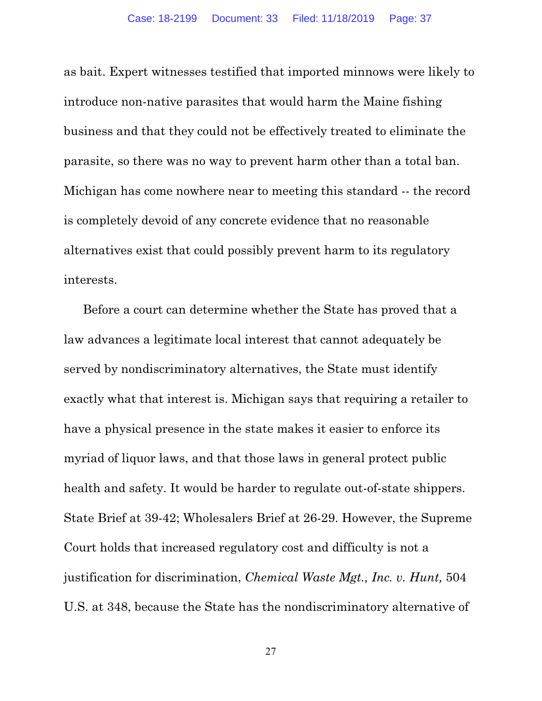as bait. Expert witnesses testified that imported minnows were likely to introduce non-native parasites that would harm the Maine fishing business and that they could not be effectively treated to eliminate the parasite, so there was no way to prevent harm other than a total ban. Michigan has come nowhere near to meeting this standard -- the record is completely devoid of any concrete evidence that no reasonable alternatives exist that could possibly prevent harm to its regulatory interests.

Before a court can determine whether the State has proved that a law advances a legitimate local interest that cannot adequately be served by nondiscriminatory alternatives, the State must identify exactly what that interest is. Michigan says that requiring a retailer to have a physical presence in the state makes it easier to enforce its myriad of liquor laws, and that those laws in general protect public health and safety. It would be harder to regulate out-of-state shippers. State Brief at 39-42; Wholesalers Brief at 26-29. However, the Supreme Court holds that increased regulatory cost and difficulty is not a justification for discrimination, *Chemical Waste Mgt., Inc. v. Hunt,* 504 U.S. at 348, because the State has the nondiscriminatory alternative of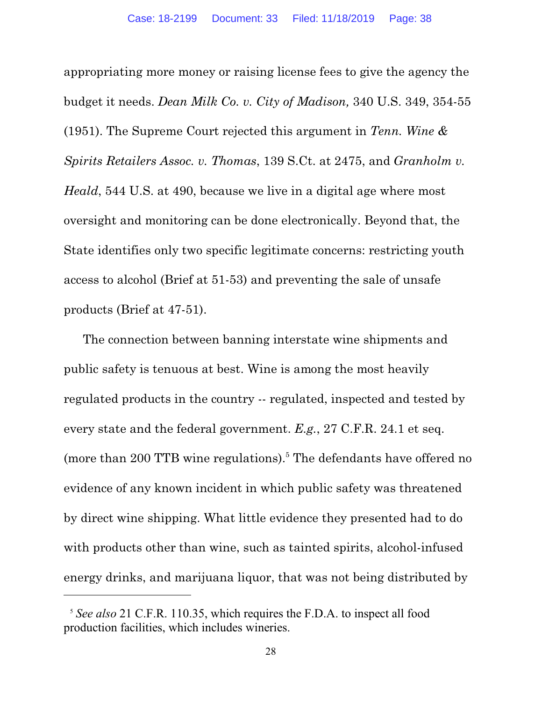appropriating more money or raising license fees to give the agency the budget it needs. *Dean Milk Co. v. City of Madison,* 340 U.S. 349, 354-55 (1951). The Supreme Court rejected this argument in *Tenn. Wine & Spirits Retailers Assoc. v. Thomas*, 139 S.Ct. at 2475, and *Granholm v. Heald*, 544 U.S. at 490, because we live in a digital age where most oversight and monitoring can be done electronically. Beyond that, the State identifies only two specific legitimate concerns: restricting youth access to alcohol (Brief at 51-53) and preventing the sale of unsafe products (Brief at 47-51).

The connection between banning interstate wine shipments and public safety is tenuous at best. Wine is among the most heavily regulated products in the country -- regulated, inspected and tested by every state and the federal government. *E.g.*, 27 C.F.R. 24.1 et seq. (more than 200 TTB wine regulations).<sup>5</sup> The defendants have offered no evidence of any known incident in which public safety was threatened by direct wine shipping. What little evidence they presented had to do with products other than wine, such as tainted spirits, alcohol-infused energy drinks, and marijuana liquor, that was not being distributed by

<sup>5</sup> *See also* 21 C.F.R. 110.35, which requires the F.D.A. to inspect all food production facilities, which includes wineries.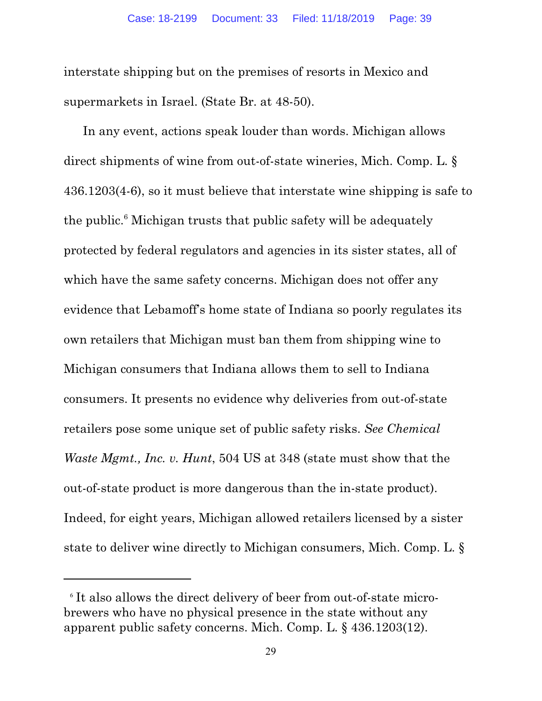interstate shipping but on the premises of resorts in Mexico and supermarkets in Israel. (State Br. at 48-50).

In any event, actions speak louder than words. Michigan allows direct shipments of wine from out-of-state wineries, Mich. Comp. L. § 436.1203(4-6), so it must believe that interstate wine shipping is safe to the public. 6 Michigan trusts that public safety will be adequately protected by federal regulators and agencies in its sister states, all of which have the same safety concerns. Michigan does not offer any evidence that Lebamoff's home state of Indiana so poorly regulates its own retailers that Michigan must ban them from shipping wine to Michigan consumers that Indiana allows them to sell to Indiana consumers. It presents no evidence why deliveries from out-of-state retailers pose some unique set of public safety risks. *See Chemical Waste Mgmt., Inc. v. Hunt*, 504 US at 348 (state must show that the out-of-state product is more dangerous than the in-state product). Indeed, for eight years, Michigan allowed retailers licensed by a sister state to deliver wine directly to Michigan consumers, Mich. Comp. L. §

<sup>6</sup> It also allows the direct delivery of beer from out-of-state microbrewers who have no physical presence in the state without any apparent public safety concerns. Mich. Comp. L. § 436.1203(12).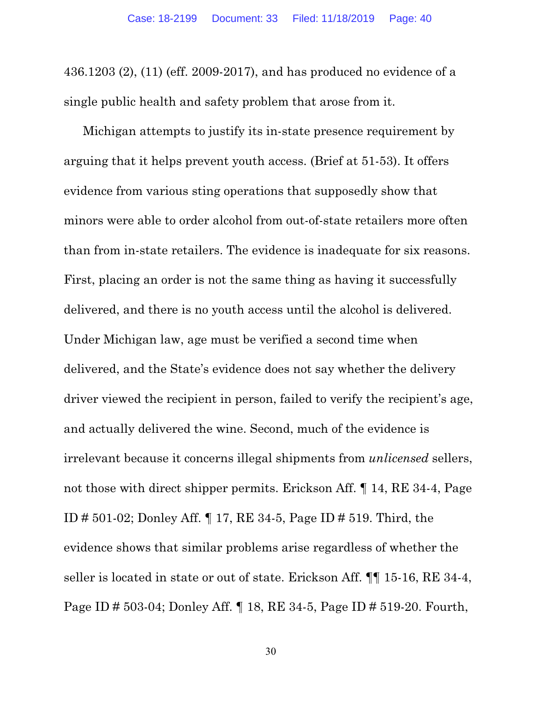436.1203 (2), (11) (eff. 2009-2017), and has produced no evidence of a single public health and safety problem that arose from it.

Michigan attempts to justify its in-state presence requirement by arguing that it helps prevent youth access. (Brief at 51-53). It offers evidence from various sting operations that supposedly show that minors were able to order alcohol from out-of-state retailers more often than from in-state retailers. The evidence is inadequate for six reasons. First, placing an order is not the same thing as having it successfully delivered, and there is no youth access until the alcohol is delivered. Under Michigan law, age must be verified a second time when delivered, and the State's evidence does not say whether the delivery driver viewed the recipient in person, failed to verify the recipient's age, and actually delivered the wine. Second, much of the evidence is irrelevant because it concerns illegal shipments from *unlicensed* sellers, not those with direct shipper permits. Erickson Aff. ¶ 14, RE 34-4, Page ID # 501-02; Donley Aff. ¶ 17, RE 34-5, Page ID # 519. Third, the evidence shows that similar problems arise regardless of whether the seller is located in state or out of state. Erickson Aff. ¶¶ 15-16, RE 34-4, Page ID # 503-04; Donley Aff. ¶ 18, RE 34-5, Page ID # 519-20. Fourth,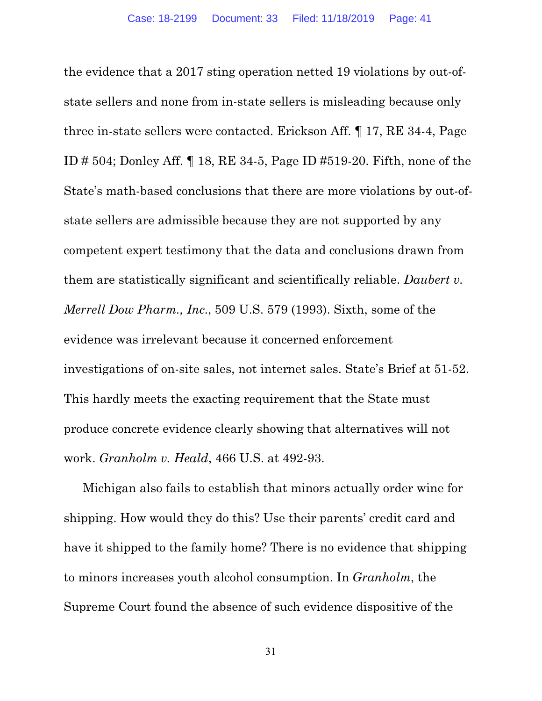the evidence that a 2017 sting operation netted 19 violations by out-ofstate sellers and none from in-state sellers is misleading because only three in-state sellers were contacted. Erickson Aff. ¶ 17, RE 34-4, Page ID # 504; Donley Aff. ¶ 18, RE 34-5, Page ID #519-20. Fifth, none of the State's math-based conclusions that there are more violations by out-ofstate sellers are admissible because they are not supported by any competent expert testimony that the data and conclusions drawn from them are statistically significant and scientifically reliable. *Daubert v. Merrell Dow Pharm., Inc*., 509 U.S. 579 (1993). Sixth, some of the evidence was irrelevant because it concerned enforcement investigations of on-site sales, not internet sales. State's Brief at 51-52. This hardly meets the exacting requirement that the State must produce concrete evidence clearly showing that alternatives will not work. *Granholm v. Heald*, 466 U.S. at 492-93.

Michigan also fails to establish that minors actually order wine for shipping. How would they do this? Use their parents' credit card and have it shipped to the family home? There is no evidence that shipping to minors increases youth alcohol consumption. In *Granholm*, the Supreme Court found the absence of such evidence dispositive of the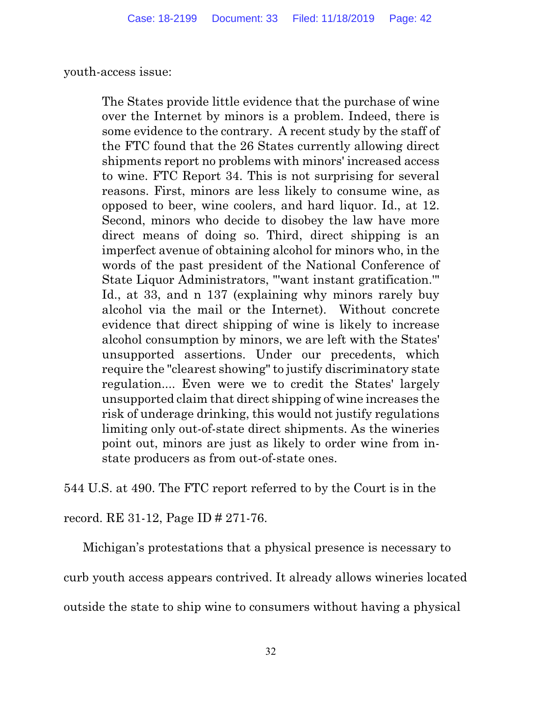youth-access issue:

The States provide little evidence that the purchase of wine over the Internet by minors is a problem. Indeed, there is some evidence to the contrary. A recent study by the staff of the FTC found that the 26 States currently allowing direct shipments report no problems with minors' increased access to wine. FTC Report 34. This is not surprising for several reasons. First, minors are less likely to consume wine, as opposed to beer, wine coolers, and hard liquor. Id., at 12. Second, minors who decide to disobey the law have more direct means of doing so. Third, direct shipping is an imperfect avenue of obtaining alcohol for minors who, in the words of the past president of the National Conference of State Liquor Administrators, "'want instant gratification.'" Id., at 33, and n 137 (explaining why minors rarely buy alcohol via the mail or the Internet). Without concrete evidence that direct shipping of wine is likely to increase alcohol consumption by minors, we are left with the States' unsupported assertions. Under our precedents, which require the "clearest showing" to justify discriminatory state regulation.... Even were we to credit the States' largely unsupported claim that direct shipping of wine increases the risk of underage drinking, this would not justify regulations limiting only out-of-state direct shipments. As the wineries point out, minors are just as likely to order wine from instate producers as from out-of-state ones.

544 U.S. at 490. The FTC report referred to by the Court is in the

record. RE 31-12, Page ID # 271-76.

Michigan's protestations that a physical presence is necessary to curb youth access appears contrived. It already allows wineries located outside the state to ship wine to consumers without having a physical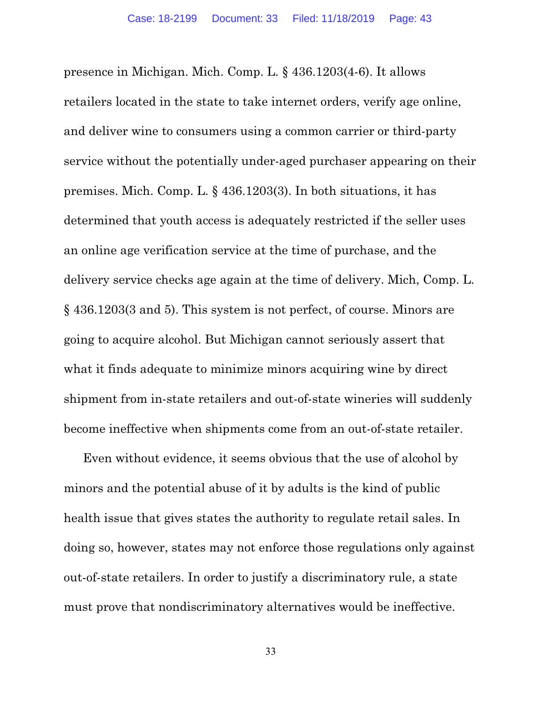presence in Michigan. Mich. Comp. L. § 436.1203(4-6). It allows retailers located in the state to take internet orders, verify age online, and deliver wine to consumers using a common carrier or third-party service without the potentially under-aged purchaser appearing on their premises. Mich. Comp. L. § 436.1203(3). In both situations, it has determined that youth access is adequately restricted if the seller uses an online age verification service at the time of purchase, and the delivery service checks age again at the time of delivery. Mich, Comp. L. § 436.1203(3 and 5). This system is not perfect, of course. Minors are going to acquire alcohol. But Michigan cannot seriously assert that what it finds adequate to minimize minors acquiring wine by direct shipment from in-state retailers and out-of-state wineries will suddenly become ineffective when shipments come from an out-of-state retailer.

Even without evidence, it seems obvious that the use of alcohol by minors and the potential abuse of it by adults is the kind of public health issue that gives states the authority to regulate retail sales. In doing so, however, states may not enforce those regulations only against out-of-state retailers. In order to justify a discriminatory rule, a state must prove that nondiscriminatory alternatives would be ineffective.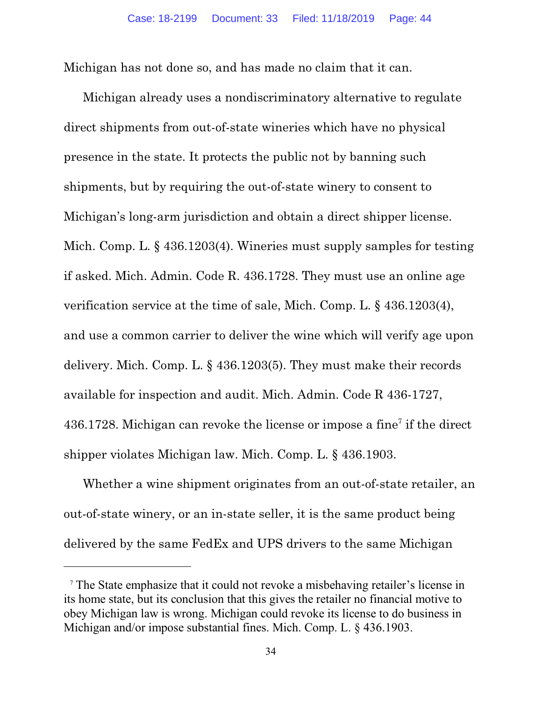Michigan has not done so, and has made no claim that it can.

Michigan already uses a nondiscriminatory alternative to regulate direct shipments from out-of-state wineries which have no physical presence in the state. It protects the public not by banning such shipments, but by requiring the out-of-state winery to consent to Michigan's long-arm jurisdiction and obtain a direct shipper license. Mich. Comp. L. § 436.1203(4). Wineries must supply samples for testing if asked. Mich. Admin. Code R. 436.1728. They must use an online age verification service at the time of sale, Mich. Comp. L. § 436.1203(4), and use a common carrier to deliver the wine which will verify age upon delivery. Mich. Comp. L. § 436.1203(5). They must make their records available for inspection and audit. Mich. Admin. Code R 436-1727,  $436.1728$ . Michigan can revoke the license or impose a fine<sup>7</sup> if the direct shipper violates Michigan law. Mich. Comp. L. § 436.1903.

Whether a wine shipment originates from an out-of-state retailer, an out-of-state winery, or an in-state seller, it is the same product being delivered by the same FedEx and UPS drivers to the same Michigan

<sup>7</sup> The State emphasize that it could not revoke a misbehaving retailer's license in its home state, but its conclusion that this gives the retailer no financial motive to obey Michigan law is wrong. Michigan could revoke its license to do business in Michigan and/or impose substantial fines. Mich. Comp. L. § 436.1903.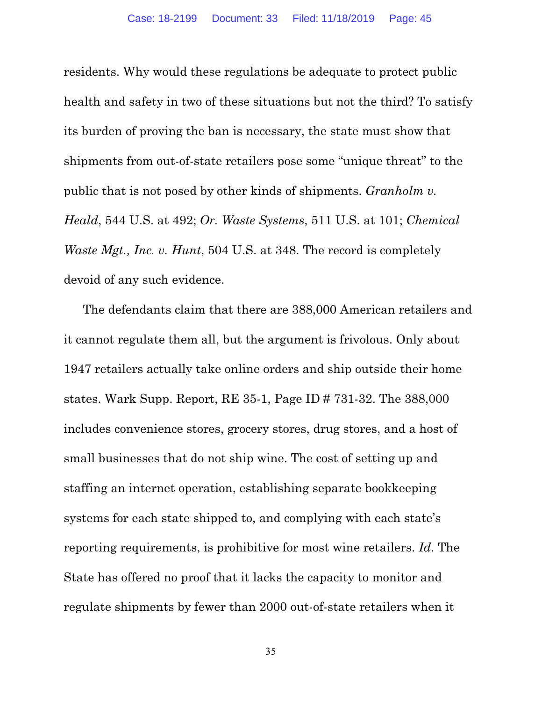residents. Why would these regulations be adequate to protect public health and safety in two of these situations but not the third? To satisfy its burden of proving the ban is necessary, the state must show that shipments from out-of-state retailers pose some "unique threat" to the public that is not posed by other kinds of shipments. *Granholm v. Heald*, 544 U.S. at 492; *Or. Waste Systems*, 511 U.S. at 101; *Chemical Waste Mgt., Inc. v. Hunt*, 504 U.S. at 348. The record is completely devoid of any such evidence.

The defendants claim that there are 388,000 American retailers and it cannot regulate them all, but the argument is frivolous. Only about 1947 retailers actually take online orders and ship outside their home states. Wark Supp. Report, RE 35-1, Page ID # 731-32. The 388,000 includes convenience stores, grocery stores, drug stores, and a host of small businesses that do not ship wine. The cost of setting up and staffing an internet operation, establishing separate bookkeeping systems for each state shipped to, and complying with each state's reporting requirements, is prohibitive for most wine retailers. *Id.* The State has offered no proof that it lacks the capacity to monitor and regulate shipments by fewer than 2000 out-of-state retailers when it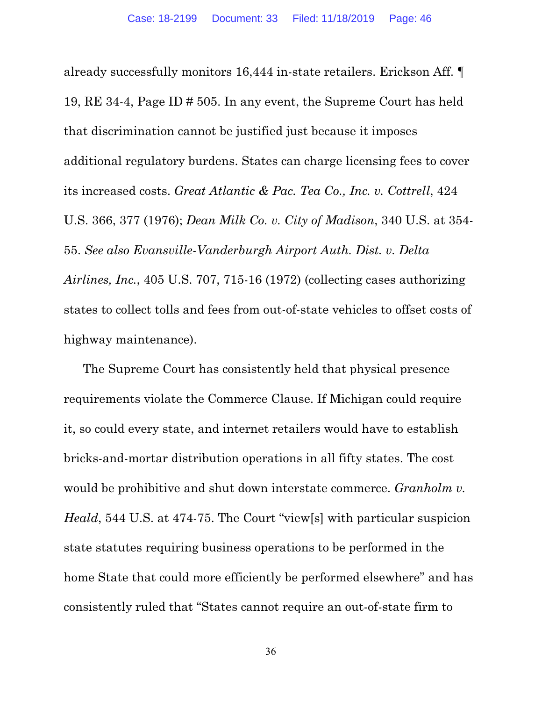already successfully monitors 16,444 in-state retailers. Erickson Aff. ¶ 19, RE 34-4, Page ID # 505. In any event, the Supreme Court has held that discrimination cannot be justified just because it imposes additional regulatory burdens. States can charge licensing fees to cover its increased costs. *Great Atlantic & Pac. Tea Co., Inc. v. Cottrell*, 424 U.S. 366, 377 (1976); *Dean Milk Co. v. City of Madison*, 340 U.S. at 354- 55. *See also Evansville-Vanderburgh Airport Auth. Dist. v. Delta Airlines, Inc.*, 405 U.S. 707, 715-16 (1972) (collecting cases authorizing states to collect tolls and fees from out-of-state vehicles to offset costs of highway maintenance).

The Supreme Court has consistently held that physical presence requirements violate the Commerce Clause. If Michigan could require it, so could every state, and internet retailers would have to establish bricks-and-mortar distribution operations in all fifty states. The cost would be prohibitive and shut down interstate commerce. *Granholm v. Heald*, 544 U.S. at 474-75. The Court "view[s] with particular suspicion state statutes requiring business operations to be performed in the home State that could more efficiently be performed elsewhere" and has consistently ruled that "States cannot require an out-of-state firm to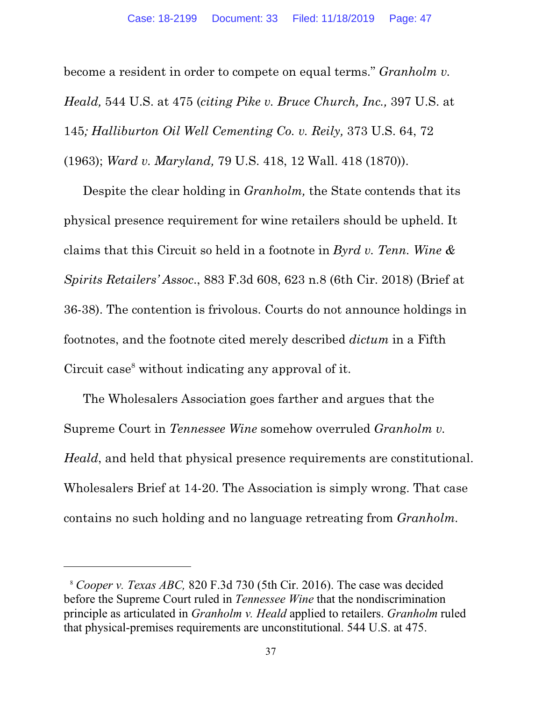become a resident in order to compete on equal terms." *Granholm v. Heald,* 544 U.S. at 475 (*citing Pike v. Bruce Church, Inc.,* 397 U.S. at 145*; Halliburton Oil Well Cementing Co. v. Reily,* 373 U.S. 64, 72 (1963); *Ward v. Maryland,* 79 U.S. 418, 12 Wall. 418 (1870)).

Despite the clear holding in *Granholm,* the State contends that its physical presence requirement for wine retailers should be upheld. It claims that this Circuit so held in a footnote in *Byrd v. Tenn. Wine & Spirits Retailers' Assoc*., 883 F.3d 608, 623 n.8 (6th Cir. 2018) (Brief at 36-38). The contention is frivolous. Courts do not announce holdings in footnotes, and the footnote cited merely described *dictum* in a Fifth Circuit case<sup>8</sup> without indicating any approval of it.

The Wholesalers Association goes farther and argues that the Supreme Court in *Tennessee Wine* somehow overruled *Granholm v. Heald*, and held that physical presence requirements are constitutional. Wholesalers Brief at 14-20. The Association is simply wrong. That case contains no such holding and no language retreating from *Granholm.*

<sup>8</sup> *Cooper v. Texas ABC,* 820 F.3d 730 (5th Cir. 2016). The case was decided before the Supreme Court ruled in *Tennessee Wine* that the nondiscrimination principle as articulated in *Granholm v. Heald* applied to retailers. *Granholm* ruled that physical-premises requirements are unconstitutional. 544 U.S. at 475.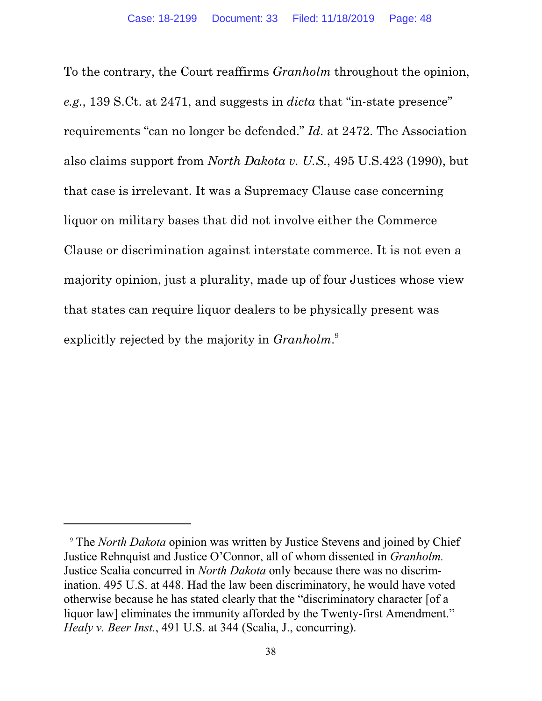To the contrary, the Court reaffirms *Granholm* throughout the opinion, *e.g.*, 139 S.Ct. at 2471, and suggests in *dicta* that "in-state presence" requirements "can no longer be defended." *Id*. at 2472. The Association also claims support from *North Dakota v. U.S.*, 495 U.S.423 (1990), but that case is irrelevant. It was a Supremacy Clause case concerning liquor on military bases that did not involve either the Commerce Clause or discrimination against interstate commerce. It is not even a majority opinion, just a plurality, made up of four Justices whose view that states can require liquor dealers to be physically present was explicitly rejected by the majority in *Granholm*. 9

<sup>9</sup> The *North Dakota* opinion was written by Justice Stevens and joined by Chief Justice Rehnquist and Justice O'Connor, all of whom dissented in *Granholm.* Justice Scalia concurred in *North Dakota* only because there was no discrimination. 495 U.S. at 448. Had the law been discriminatory, he would have voted otherwise because he has stated clearly that the "discriminatory character [of a liquor law] eliminates the immunity afforded by the Twenty-first Amendment." *Healy v. Beer Inst.*, 491 U.S. at 344 (Scalia, J., concurring).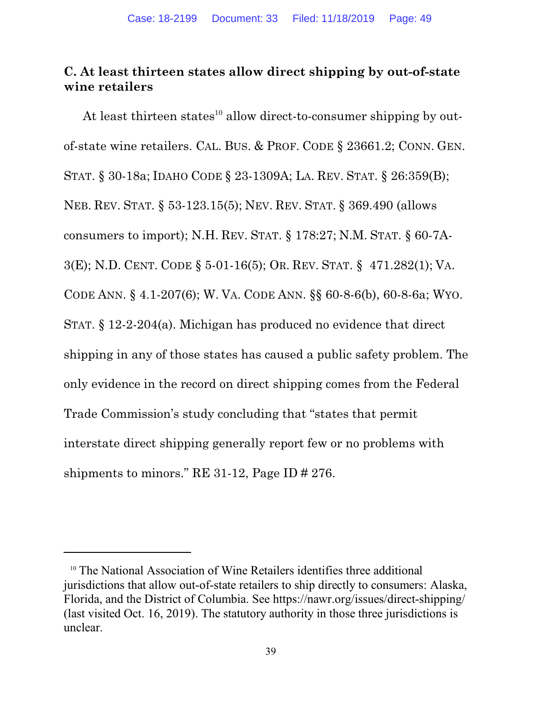# **C. At least thirteen states allow direct shipping by out-of-state wine retailers**

At least thirteen states<sup>10</sup> allow direct-to-consumer shipping by outof-state wine retailers. CAL. BUS. & PROF. CODE § 23661.2; CONN. GEN. STAT. § 30-18a; IDAHO CODE § 23-1309A; LA. REV. STAT. § 26:359(B); NEB. REV. STAT. § 53-123.15(5); NEV. REV. STAT. § 369.490 (allows consumers to import); N.H. REV. STAT. § 178:27; N.M. STAT. § 60-7A-3(E); N.D. CENT. CODE § 5-01-16(5); OR. REV. STAT. § 471.282(1); VA. CODE ANN. § 4.1-207(6); W. VA. CODE ANN. §§ 60-8-6(b), 60-8-6a; WYO. STAT. § 12-2-204(a). Michigan has produced no evidence that direct shipping in any of those states has caused a public safety problem. The only evidence in the record on direct shipping comes from the Federal Trade Commission's study concluding that "states that permit interstate direct shipping generally report few or no problems with shipments to minors." RE 31-12, Page ID # 276.

<sup>&</sup>lt;sup>10</sup> The National Association of Wine Retailers identifies three additional jurisdictions that allow out-of-state retailers to ship directly to consumers: Alaska, Florida, and the District of Columbia. See https://nawr.org/issues/direct-shipping/ (last visited Oct. 16, 2019). The statutory authority in those three jurisdictions is unclear.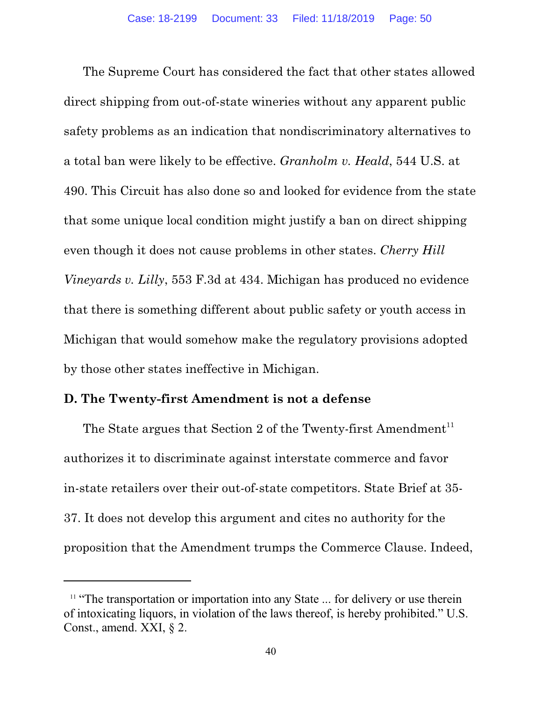The Supreme Court has considered the fact that other states allowed direct shipping from out-of-state wineries without any apparent public safety problems as an indication that nondiscriminatory alternatives to a total ban were likely to be effective. *Granholm v. Heald*, 544 U.S. at 490. This Circuit has also done so and looked for evidence from the state that some unique local condition might justify a ban on direct shipping even though it does not cause problems in other states. *Cherry Hill Vineyards v. Lilly*, 553 F.3d at 434. Michigan has produced no evidence that there is something different about public safety or youth access in Michigan that would somehow make the regulatory provisions adopted by those other states ineffective in Michigan.

#### **D. The Twenty-first Amendment is not a defense**

The State argues that Section 2 of the Twenty-first Amendment<sup>11</sup> authorizes it to discriminate against interstate commerce and favor in-state retailers over their out-of-state competitors. State Brief at 35- 37. It does not develop this argument and cites no authority for the proposition that the Amendment trumps the Commerce Clause. Indeed,

<sup>&</sup>lt;sup>11</sup> "The transportation or importation into any State ... for delivery or use therein of intoxicating liquors, in violation of the laws thereof, is hereby prohibited." U.S. Const., amend. XXI,  $\S$  2.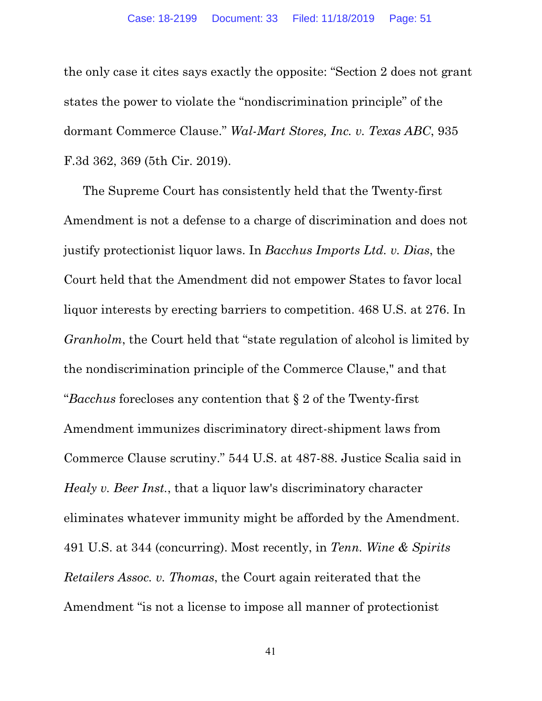the only case it cites says exactly the opposite: "Section 2 does not grant states the power to violate the "nondiscrimination principle" of the dormant Commerce Clause." *Wal-Mart Stores, Inc. v. Texas ABC*, 935 F.3d 362, 369 (5th Cir. 2019).

The Supreme Court has consistently held that the Twenty-first Amendment is not a defense to a charge of discrimination and does not justify protectionist liquor laws. In *Bacchus Imports Ltd. v. Dias*, the Court held that the Amendment did not empower States to favor local liquor interests by erecting barriers to competition. 468 U.S. at 276. In *Granholm*, the Court held that "state regulation of alcohol is limited by the nondiscrimination principle of the Commerce Clause," and that "*Bacchus* forecloses any contention that § 2 of the Twenty-first Amendment immunizes discriminatory direct-shipment laws from Commerce Clause scrutiny." 544 U.S. at 487-88. Justice Scalia said in *Healy v. Beer Inst.*, that a liquor law's discriminatory character eliminates whatever immunity might be afforded by the Amendment. 491 U.S. at 344 (concurring). Most recently, in *Tenn. Wine & Spirits Retailers Assoc. v. Thomas*, the Court again reiterated that the Amendment "is not a license to impose all manner of protectionist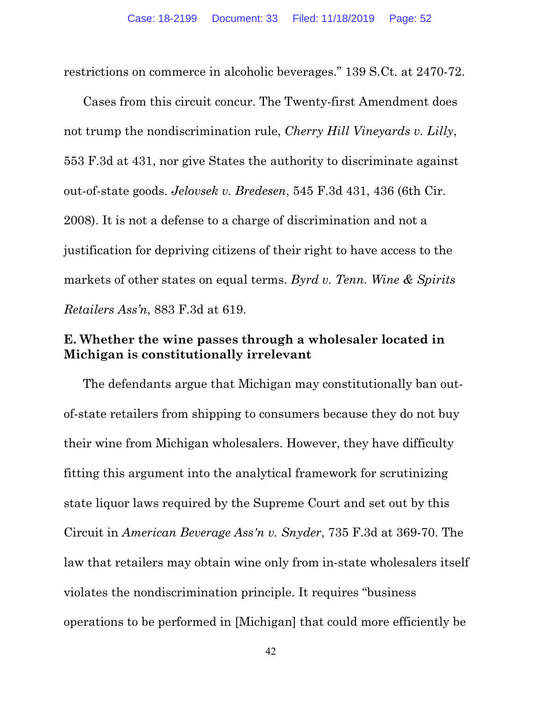restrictions on commerce in alcoholic beverages." 139 S.Ct. at 2470-72.

Cases from this circuit concur. The Twenty-first Amendment does not trump the nondiscrimination rule, *Cherry Hill Vineyards v. Lilly*, 553 F.3d at 431, nor give States the authority to discriminate against out-of-state goods. *Jelovsek v. Bredesen*, 545 F.3d 431, 436 (6th Cir. 2008). It is not a defense to a charge of discrimination and not a justification for depriving citizens of their right to have access to the markets of other states on equal terms. *Byrd v. Tenn. Wine & Spirits Retailers Ass'n*, 883 F.3d at 619.

## **E. Whether the wine passes through a wholesaler located in Michigan is constitutionally irrelevant**

The defendants argue that Michigan may constitutionally ban outof-state retailers from shipping to consumers because they do not buy their wine from Michigan wholesalers. However, they have difficulty fitting this argument into the analytical framework for scrutinizing state liquor laws required by the Supreme Court and set out by this Circuit in *American Beverage Ass'n v. Snyder*, 735 F.3d at 369-70. The law that retailers may obtain wine only from in-state wholesalers itself violates the nondiscrimination principle. It requires "business operations to be performed in [Michigan] that could more efficiently be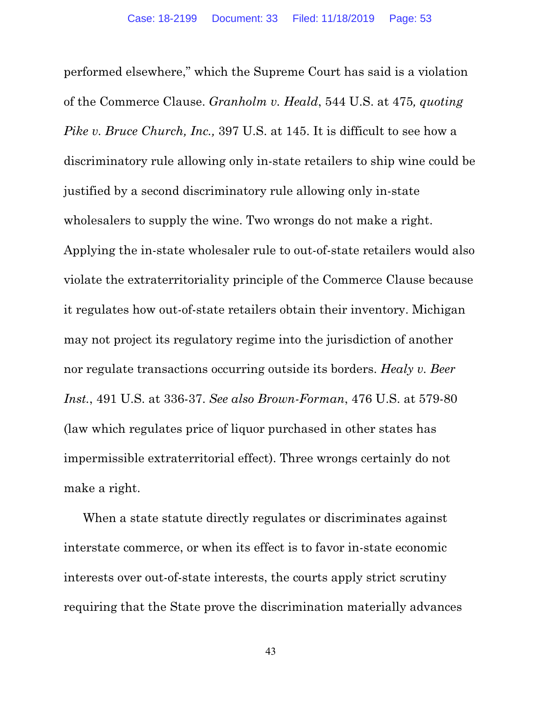performed elsewhere," which the Supreme Court has said is a violation of the Commerce Clause. *Granholm v. Heald*, 544 U.S. at 475*, quoting Pike v. Bruce Church, Inc., 397 U.S. at 145. It is difficult to see how a* discriminatory rule allowing only in-state retailers to ship wine could be justified by a second discriminatory rule allowing only in-state wholesalers to supply the wine. Two wrongs do not make a right. Applying the in-state wholesaler rule to out-of-state retailers would also violate the extraterritoriality principle of the Commerce Clause because it regulates how out-of-state retailers obtain their inventory. Michigan may not project its regulatory regime into the jurisdiction of another nor regulate transactions occurring outside its borders. *Healy v. Beer Inst.*, 491 U.S. at 336-37. *See also Brown-Forman*, 476 U.S. at 579-80 (law which regulates price of liquor purchased in other states has impermissible extraterritorial effect). Three wrongs certainly do not make a right.

When a state statute directly regulates or discriminates against interstate commerce, or when its effect is to favor in-state economic interests over out-of-state interests, the courts apply strict scrutiny requiring that the State prove the discrimination materially advances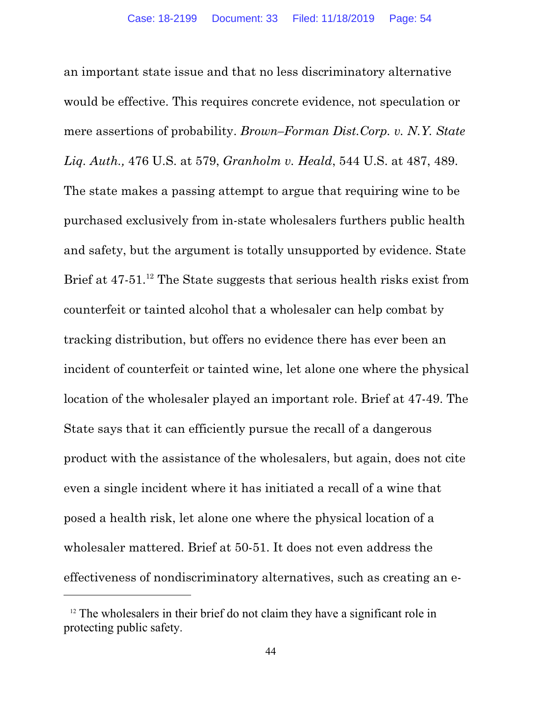an important state issue and that no less discriminatory alternative would be effective. This requires concrete evidence, not speculation or mere assertions of probability. *Brown–Forman Dist.Corp. v. N.Y. State Liq. Auth.,* 476 U.S. at 579, *Granholm v. Heald*, 544 U.S. at 487, 489. The state makes a passing attempt to argue that requiring wine to be purchased exclusively from in-state wholesalers furthers public health and safety, but the argument is totally unsupported by evidence. State Brief at 47-51.<sup>12</sup> The State suggests that serious health risks exist from counterfeit or tainted alcohol that a wholesaler can help combat by tracking distribution, but offers no evidence there has ever been an incident of counterfeit or tainted wine, let alone one where the physical location of the wholesaler played an important role. Brief at 47-49. The State says that it can efficiently pursue the recall of a dangerous product with the assistance of the wholesalers, but again, does not cite even a single incident where it has initiated a recall of a wine that posed a health risk, let alone one where the physical location of a wholesaler mattered. Brief at 50-51. It does not even address the effectiveness of nondiscriminatory alternatives, such as creating an e-

 $12$  The wholesalers in their brief do not claim they have a significant role in protecting public safety.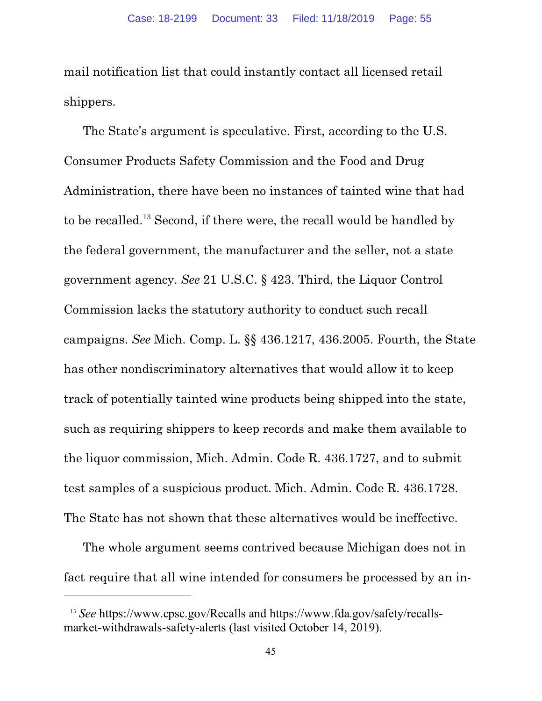mail notification list that could instantly contact all licensed retail shippers.

The State's argument is speculative. First, according to the U.S. Consumer Products Safety Commission and the Food and Drug Administration, there have been no instances of tainted wine that had to be recalled.<sup>13</sup> Second, if there were, the recall would be handled by the federal government, the manufacturer and the seller, not a state government agency. *See* 21 U.S.C. § 423. Third, the Liquor Control Commission lacks the statutory authority to conduct such recall campaigns. *See* Mich. Comp. L. §§ 436.1217, 436.2005. Fourth, the State has other nondiscriminatory alternatives that would allow it to keep track of potentially tainted wine products being shipped into the state, such as requiring shippers to keep records and make them available to the liquor commission, Mich. Admin. Code R. 436.1727, and to submit test samples of a suspicious product. Mich. Admin. Code R. 436.1728. The State has not shown that these alternatives would be ineffective.

The whole argument seems contrived because Michigan does not in fact require that all wine intended for consumers be processed by an in-

<sup>13</sup> *See* https://www.cpsc.gov/Recalls and [https://www.fda.gov/safety/recalls](https://www.fda.gov/safety/recalls-market-withdrawals-)[market-withdrawals-](https://www.fda.gov/safety/recalls-market-withdrawals-)safety-alerts (last visited October 14, 2019).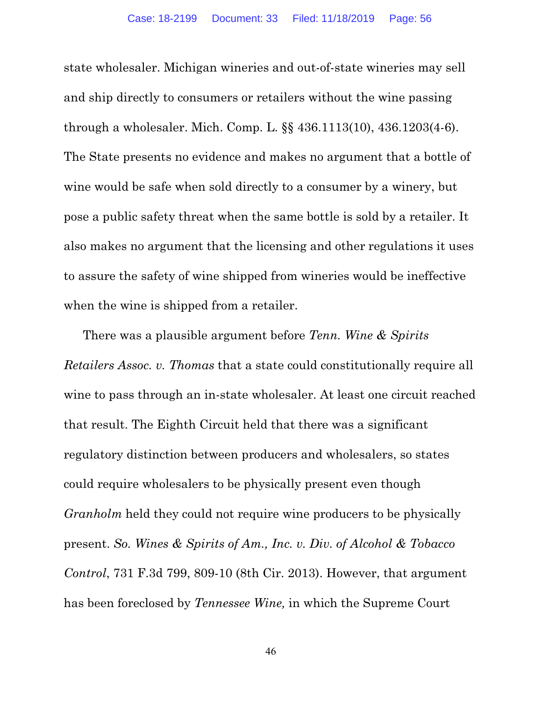state wholesaler. Michigan wineries and out-of-state wineries may sell and ship directly to consumers or retailers without the wine passing through a wholesaler. Mich. Comp. L. §§ 436.1113(10), 436.1203(4-6). The State presents no evidence and makes no argument that a bottle of wine would be safe when sold directly to a consumer by a winery, but pose a public safety threat when the same bottle is sold by a retailer. It also makes no argument that the licensing and other regulations it uses to assure the safety of wine shipped from wineries would be ineffective when the wine is shipped from a retailer.

There was a plausible argument before *Tenn. Wine & Spirits Retailers Assoc. v. Thomas* that a state could constitutionally require all wine to pass through an in-state wholesaler. At least one circuit reached that result. The Eighth Circuit held that there was a significant regulatory distinction between producers and wholesalers, so states could require wholesalers to be physically present even though *Granholm* held they could not require wine producers to be physically present. *So. Wines & Spirits of Am., Inc. v. Div. of Alcohol & Tobacco Control*, 731 F.3d 799, 809-10 (8th Cir. 2013). However, that argument has been foreclosed by *Tennessee Wine,* in which the Supreme Court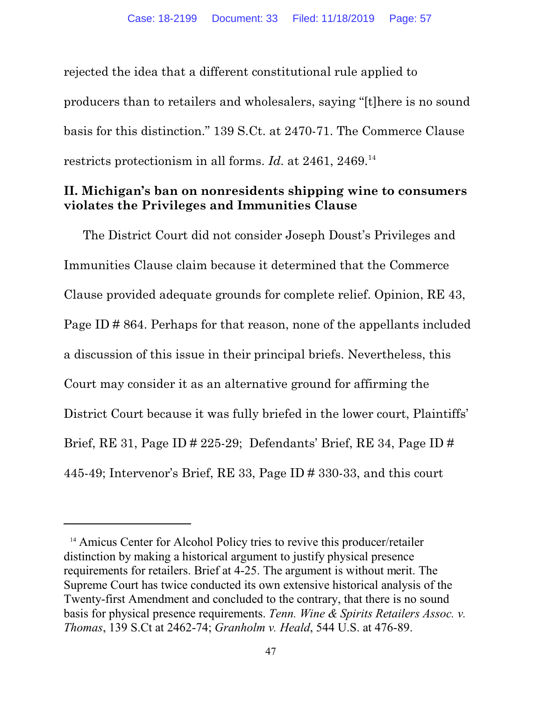rejected the idea that a different constitutional rule applied to producers than to retailers and wholesalers, saying "[t]here is no sound basis for this distinction." 139 S.Ct. at 2470-71. The Commerce Clause restricts protectionism in all forms. *Id.* at 2461, 2469.<sup>14</sup>

## **II. Michigan's ban on nonresidents shipping wine to consumers violates the Privileges and Immunities Clause**

The District Court did not consider Joseph Doust's Privileges and Immunities Clause claim because it determined that the Commerce Clause provided adequate grounds for complete relief. Opinion, RE 43, Page ID # 864. Perhaps for that reason, none of the appellants included a discussion of this issue in their principal briefs. Nevertheless, this Court may consider it as an alternative ground for affirming the District Court because it was fully briefed in the lower court, Plaintiffs' Brief, RE 31, Page ID # 225-29; Defendants' Brief, RE 34, Page ID # 445-49; Intervenor's Brief, RE 33, Page ID # 330-33, and this court

<sup>&</sup>lt;sup>14</sup> Amicus Center for Alcohol Policy tries to revive this producer/retailer distinction by making a historical argument to justify physical presence requirements for retailers. Brief at 4-25. The argument is without merit. The Supreme Court has twice conducted its own extensive historical analysis of the Twenty-first Amendment and concluded to the contrary, that there is no sound basis for physical presence requirements. *Tenn. Wine & Spirits Retailers Assoc. v. Thomas*, 139 S.Ct at 2462-74; *Granholm v. Heald*, 544 U.S. at 476-89.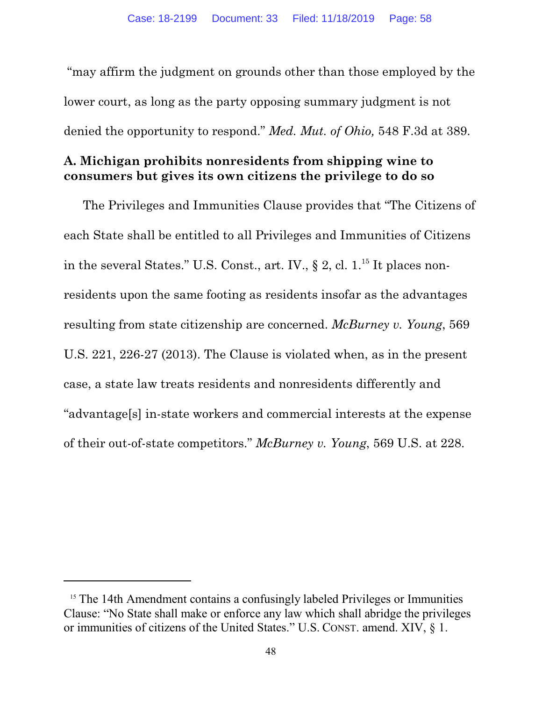"may affirm the judgment on grounds other than those employed by the lower court, as long as the party opposing summary judgment is not denied the opportunity to respond." *Med. Mut. of Ohio,* 548 F.3d at 389.

## **A. Michigan prohibits nonresidents from shipping wine to consumers but gives its own citizens the privilege to do so**

The Privileges and Immunities Clause provides that "The Citizens of each State shall be entitled to all Privileges and Immunities of Citizens in the several States." U.S. Const., art. IV.,  $\S 2$ , cl. 1.<sup>15</sup> It places nonresidents upon the same footing as residents insofar as the advantages resulting from state citizenship are concerned. *McBurney v. Young*, 569 U.S. 221, 226-27 (2013). The Clause is violated when, as in the present case, a state law treats residents and nonresidents differently and "advantage[s] in-state workers and commercial interests at the expense of their out-of-state competitors." *McBurney v. Young*, 569 U.S. at 228.

<sup>&</sup>lt;sup>15</sup> The 14th Amendment contains a confusingly labeled Privileges or Immunities Clause: "No State shall make or enforce any law which shall abridge the privileges or immunities of citizens of the United States." U.S. CONST. amend. XIV, § 1.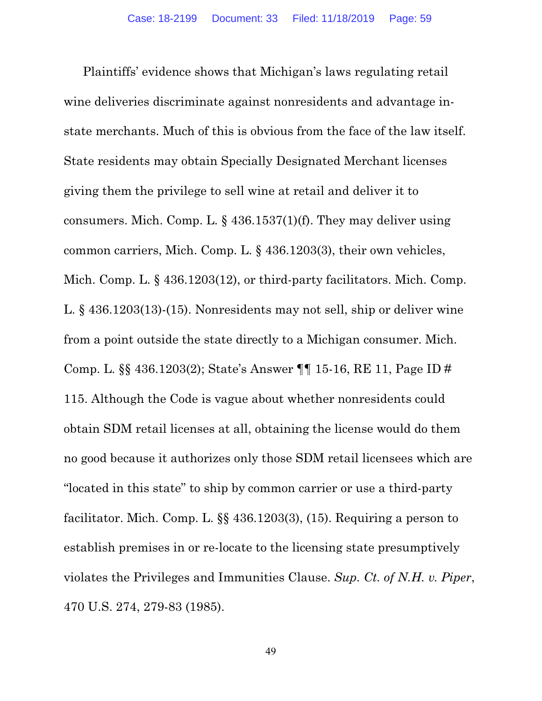Plaintiffs' evidence shows that Michigan's laws regulating retail wine deliveries discriminate against nonresidents and advantage instate merchants. Much of this is obvious from the face of the law itself. State residents may obtain Specially Designated Merchant licenses giving them the privilege to sell wine at retail and deliver it to consumers. Mich. Comp. L. § 436.1537(1)(f). They may deliver using common carriers, Mich. Comp. L. § 436.1203(3), their own vehicles, Mich. Comp. L. § 436.1203(12), or third-party facilitators. Mich. Comp. L. § 436.1203(13)-(15). Nonresidents may not sell, ship or deliver wine from a point outside the state directly to a Michigan consumer. Mich. Comp. L. §§ 436.1203(2); State's Answer ¶¶ 15-16, RE 11, Page ID # 115. Although the Code is vague about whether nonresidents could obtain SDM retail licenses at all, obtaining the license would do them no good because it authorizes only those SDM retail licensees which are "located in this state" to ship by common carrier or use a third-party facilitator. Mich. Comp. L. §§ 436.1203(3), (15). Requiring a person to establish premises in or re-locate to the licensing state presumptively violates the Privileges and Immunities Clause. *Sup. Ct. of N.H. v. Piper*, 470 U.S. 274, 279-83 (1985).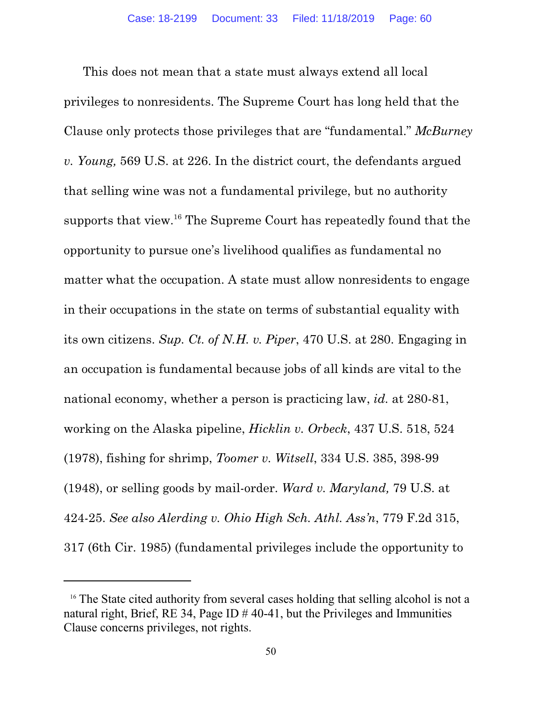This does not mean that a state must always extend all local privileges to nonresidents. The Supreme Court has long held that the Clause only protects those privileges that are "fundamental." *McBurney v. Young,* 569 U.S. at 226. In the district court, the defendants argued that selling wine was not a fundamental privilege, but no authority supports that view.<sup>16</sup> The Supreme Court has repeatedly found that the opportunity to pursue one's livelihood qualifies as fundamental no matter what the occupation. A state must allow nonresidents to engage in their occupations in the state on terms of substantial equality with its own citizens. *Sup. Ct. of N.H. v. Piper*, 470 U.S. at 280. Engaging in an occupation is fundamental because jobs of all kinds are vital to the national economy, whether a person is practicing law, *id.* at 280-81, working on the Alaska pipeline, *Hicklin v. Orbeck*, 437 U.S. 518, 524 (1978), fishing for shrimp, *Toomer v. Witsell*, 334 U.S. 385, 398-99 (1948), or selling goods by mail-order. *Ward v. Maryland,* 79 U.S. at 424-25. *See also Alerding v. Ohio High Sch. Athl. Ass'n*, 779 F.2d 315, 317 (6th Cir. 1985) (fundamental privileges include the opportunity to

<sup>&</sup>lt;sup>16</sup> The State cited authority from several cases holding that selling alcohol is not a natural right, Brief, RE 34, Page ID  $\#$  40-41, but the Privileges and Immunities Clause concerns privileges, not rights.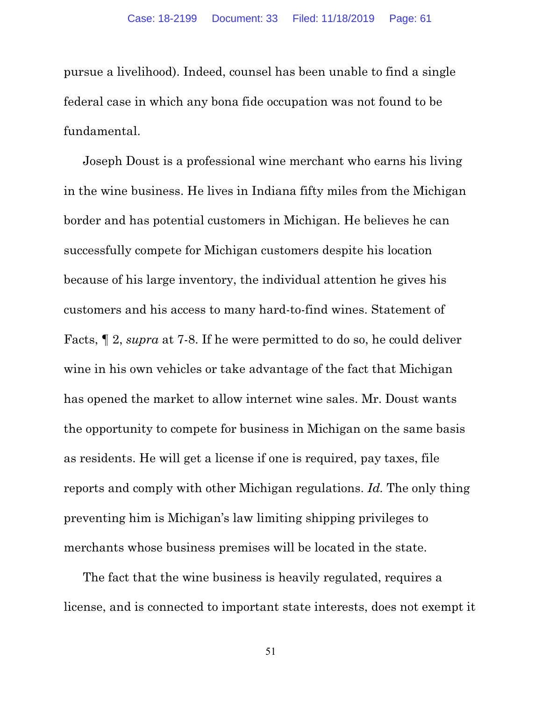pursue a livelihood). Indeed, counsel has been unable to find a single federal case in which any bona fide occupation was not found to be fundamental.

Joseph Doust is a professional wine merchant who earns his living in the wine business. He lives in Indiana fifty miles from the Michigan border and has potential customers in Michigan. He believes he can successfully compete for Michigan customers despite his location because of his large inventory, the individual attention he gives his customers and his access to many hard-to-find wines. Statement of Facts, ¶ 2, *supra* at 7-8. If he were permitted to do so, he could deliver wine in his own vehicles or take advantage of the fact that Michigan has opened the market to allow internet wine sales. Mr. Doust wants the opportunity to compete for business in Michigan on the same basis as residents. He will get a license if one is required, pay taxes, file reports and comply with other Michigan regulations. *Id.* The only thing preventing him is Michigan's law limiting shipping privileges to merchants whose business premises will be located in the state.

The fact that the wine business is heavily regulated, requires a license, and is connected to important state interests, does not exempt it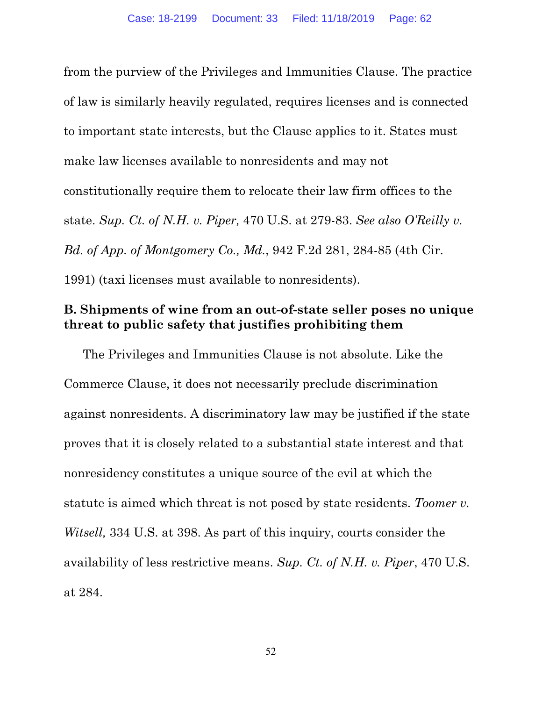from the purview of the Privileges and Immunities Clause. The practice of law is similarly heavily regulated, requires licenses and is connected to important state interests, but the Clause applies to it. States must make law licenses available to nonresidents and may not constitutionally require them to relocate their law firm offices to the state. *Sup. Ct. of N.H. v. Piper,* 470 U.S. at 279-83. *See also O'Reilly v. Bd. of App. of Montgomery Co., Md.*, 942 F.2d 281, 284-85 (4th Cir. 1991) (taxi licenses must available to nonresidents).

#### **B. Shipments of wine from an out-of-state seller poses no unique threat to public safety that justifies prohibiting them**

The Privileges and Immunities Clause is not absolute. Like the Commerce Clause, it does not necessarily preclude discrimination against nonresidents. A discriminatory law may be justified if the state proves that it is closely related to a substantial state interest and that nonresidency constitutes a unique source of the evil at which the statute is aimed which threat is not posed by state residents. *Toomer v. Witsell,* 334 U.S. at 398. As part of this inquiry, courts consider the availability of less restrictive means. *Sup. Ct. of N.H. v. Piper*, 470 U.S. at 284.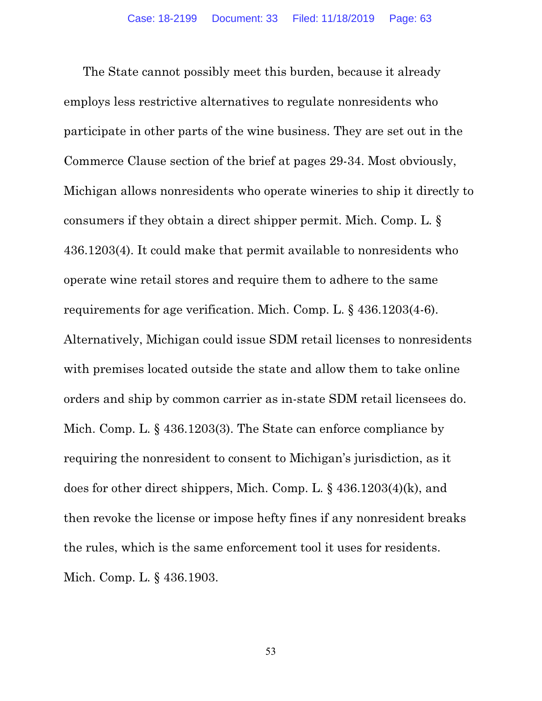The State cannot possibly meet this burden, because it already employs less restrictive alternatives to regulate nonresidents who participate in other parts of the wine business. They are set out in the Commerce Clause section of the brief at pages 29-34. Most obviously, Michigan allows nonresidents who operate wineries to ship it directly to consumers if they obtain a direct shipper permit. Mich. Comp. L. § 436.1203(4). It could make that permit available to nonresidents who operate wine retail stores and require them to adhere to the same requirements for age verification. Mich. Comp. L. § 436.1203(4-6). Alternatively, Michigan could issue SDM retail licenses to nonresidents with premises located outside the state and allow them to take online orders and ship by common carrier as in-state SDM retail licensees do. Mich. Comp. L. § 436.1203(3). The State can enforce compliance by requiring the nonresident to consent to Michigan's jurisdiction, as it does for other direct shippers, Mich. Comp. L. § 436.1203(4)(k), and then revoke the license or impose hefty fines if any nonresident breaks the rules, which is the same enforcement tool it uses for residents. Mich. Comp. L. § 436.1903.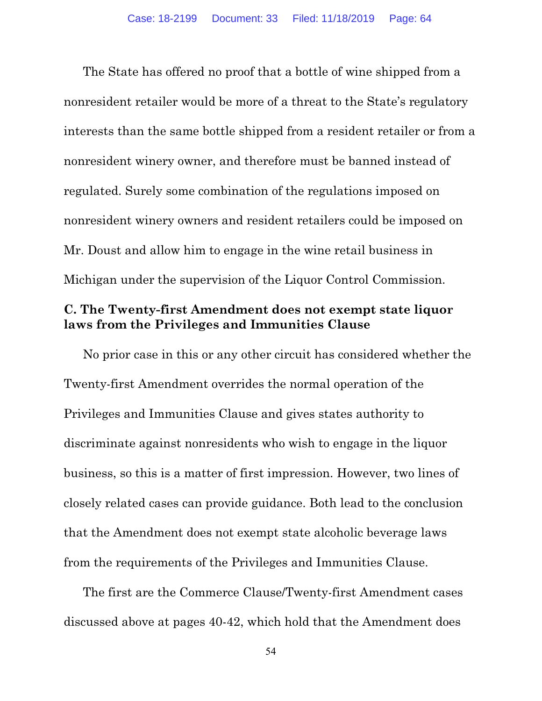The State has offered no proof that a bottle of wine shipped from a nonresident retailer would be more of a threat to the State's regulatory interests than the same bottle shipped from a resident retailer or from a nonresident winery owner, and therefore must be banned instead of regulated. Surely some combination of the regulations imposed on nonresident winery owners and resident retailers could be imposed on Mr. Doust and allow him to engage in the wine retail business in Michigan under the supervision of the Liquor Control Commission.

### **C. The Twenty-first Amendment does not exempt state liquor laws from the Privileges and Immunities Clause**

No prior case in this or any other circuit has considered whether the Twenty-first Amendment overrides the normal operation of the Privileges and Immunities Clause and gives states authority to discriminate against nonresidents who wish to engage in the liquor business, so this is a matter of first impression. However, two lines of closely related cases can provide guidance. Both lead to the conclusion that the Amendment does not exempt state alcoholic beverage laws from the requirements of the Privileges and Immunities Clause.

The first are the Commerce Clause/Twenty-first Amendment cases discussed above at pages 40-42, which hold that the Amendment does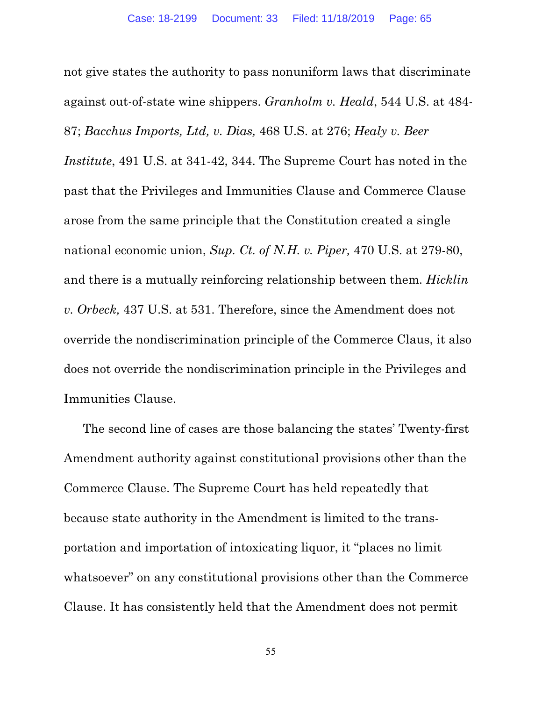not give states the authority to pass nonuniform laws that discriminate against out-of-state wine shippers. *Granholm v. Heald*, 544 U.S. at 484- 87; *Bacchus Imports, Ltd, v. Dias,* 468 U.S. at 276; *Healy v. Beer Institute*, 491 U.S. at 341-42, 344. The Supreme Court has noted in the past that the Privileges and Immunities Clause and Commerce Clause arose from the same principle that the Constitution created a single national economic union, *Sup. Ct. of N.H. v. Piper,* 470 U.S. at 279-80, and there is a mutually reinforcing relationship between them. *Hicklin v. Orbeck,* 437 U.S. at 531. Therefore, since the Amendment does not override the nondiscrimination principle of the Commerce Claus, it also does not override the nondiscrimination principle in the Privileges and Immunities Clause.

The second line of cases are those balancing the states' Twenty-first Amendment authority against constitutional provisions other than the Commerce Clause. The Supreme Court has held repeatedly that because state authority in the Amendment is limited to the transportation and importation of intoxicating liquor, it "places no limit whatsoever" on any constitutional provisions other than the Commerce Clause. It has consistently held that the Amendment does not permit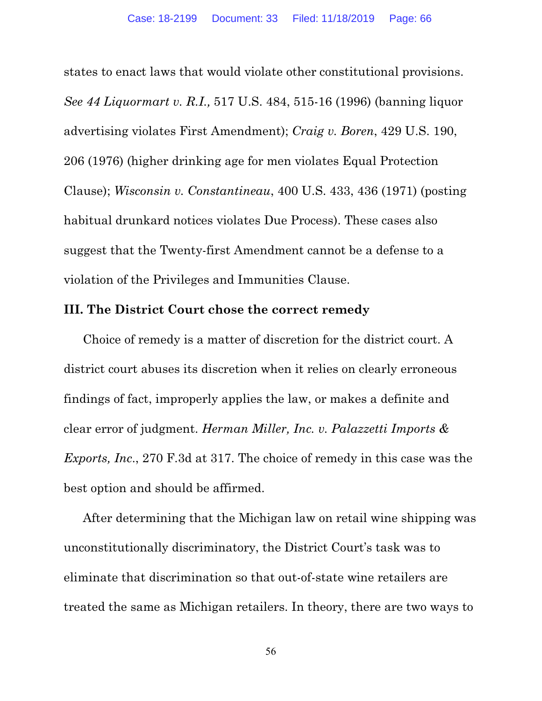states to enact laws that would violate other constitutional provisions. *See 44 Liquormart v. R.I.,* 517 U.S. 484, 515-16 (1996) (banning liquor advertising violates First Amendment); *Craig v. Boren*, 429 U.S. 190, 206 (1976) (higher drinking age for men violates Equal Protection Clause); *Wisconsin v. Constantineau*, 400 U.S. 433, 436 (1971) (posting habitual drunkard notices violates Due Process). These cases also suggest that the Twenty-first Amendment cannot be a defense to a violation of the Privileges and Immunities Clause.

#### **III. The District Court chose the correct remedy**

Choice of remedy is a matter of discretion for the district court. A district court abuses its discretion when it relies on clearly erroneous findings of fact, improperly applies the law, or makes a definite and clear error of judgment. *Herman Miller, Inc. v. Palazzetti Imports & Exports, Inc*., 270 F.3d at 317. The choice of remedy in this case was the best option and should be affirmed.

After determining that the Michigan law on retail wine shipping was unconstitutionally discriminatory, the District Court's task was to eliminate that discrimination so that out-of-state wine retailers are treated the same as Michigan retailers. In theory, there are two ways to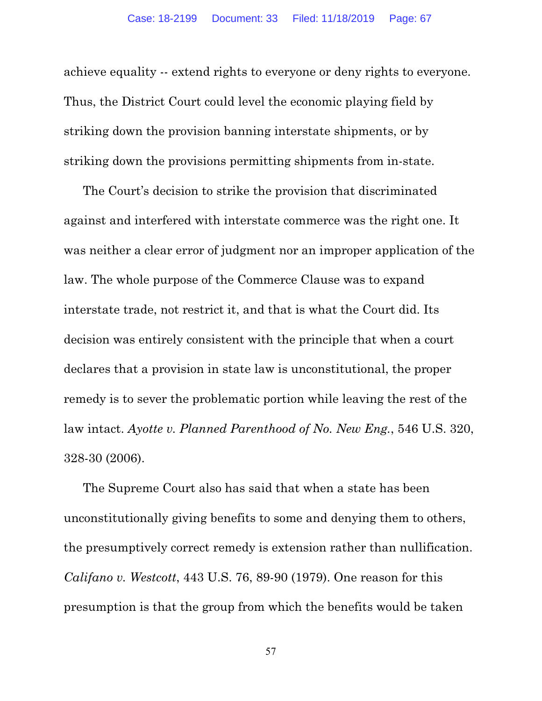achieve equality -- extend rights to everyone or deny rights to everyone. Thus, the District Court could level the economic playing field by striking down the provision banning interstate shipments, or by striking down the provisions permitting shipments from in-state.

The Court's decision to strike the provision that discriminated against and interfered with interstate commerce was the right one. It was neither a clear error of judgment nor an improper application of the law. The whole purpose of the Commerce Clause was to expand interstate trade, not restrict it, and that is what the Court did. Its decision was entirely consistent with the principle that when a court declares that a provision in state law is unconstitutional, the proper remedy is to sever the problematic portion while leaving the rest of the law intact. *Ayotte v. Planned Parenthood of No. New Eng.*, 546 U.S. 320, 328-30 (2006).

The Supreme Court also has said that when a state has been unconstitutionally giving benefits to some and denying them to others, the presumptively correct remedy is extension rather than nullification. *Califano v. Westcott*, 443 U.S. 76, 89-90 (1979). One reason for this presumption is that the group from which the benefits would be taken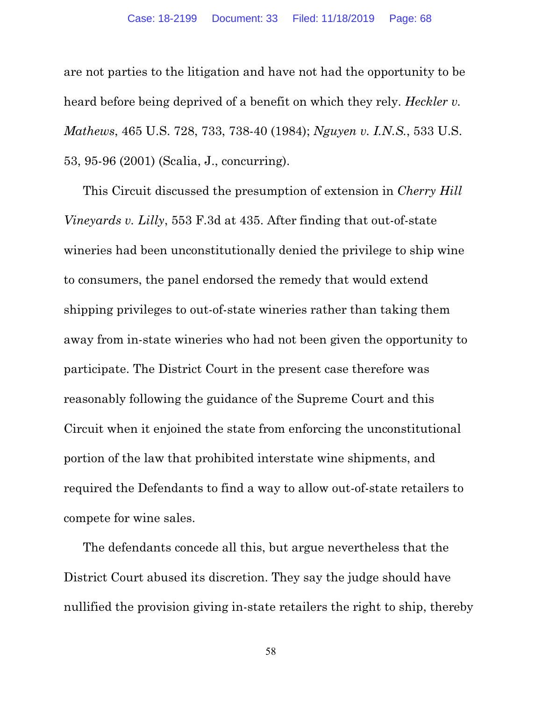are not parties to the litigation and have not had the opportunity to be heard before being deprived of a benefit on which they rely. *Heckler v. Mathews*, 465 U.S. 728, 733, 738-40 (1984); *Nguyen v. I.N.S.*, 533 U.S. 53, 95-96 (2001) (Scalia, J., concurring).

This Circuit discussed the presumption of extension in *Cherry Hill Vineyards v. Lilly*, 553 F.3d at 435. After finding that out-of-state wineries had been unconstitutionally denied the privilege to ship wine to consumers, the panel endorsed the remedy that would extend shipping privileges to out-of-state wineries rather than taking them away from in-state wineries who had not been given the opportunity to participate. The District Court in the present case therefore was reasonably following the guidance of the Supreme Court and this Circuit when it enjoined the state from enforcing the unconstitutional portion of the law that prohibited interstate wine shipments, and required the Defendants to find a way to allow out-of-state retailers to compete for wine sales.

The defendants concede all this, but argue nevertheless that the District Court abused its discretion. They say the judge should have nullified the provision giving in-state retailers the right to ship, thereby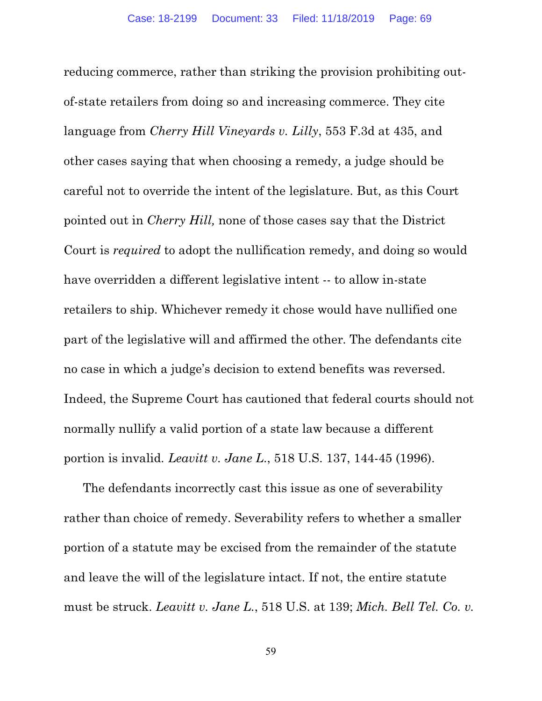reducing commerce, rather than striking the provision prohibiting outof-state retailers from doing so and increasing commerce. They cite language from *Cherry Hill Vineyards v. Lilly*, 553 F.3d at 435, and other cases saying that when choosing a remedy, a judge should be careful not to override the intent of the legislature. But, as this Court pointed out in *Cherry Hill,* none of those cases say that the District Court is *required* to adopt the nullification remedy, and doing so would have overridden a different legislative intent -- to allow in-state retailers to ship. Whichever remedy it chose would have nullified one part of the legislative will and affirmed the other. The defendants cite no case in which a judge's decision to extend benefits was reversed. Indeed, the Supreme Court has cautioned that federal courts should not normally nullify a valid portion of a state law because a different portion is invalid*. Leavitt v. Jane L*., 518 U.S. 137, 144-45 (1996).

The defendants incorrectly cast this issue as one of severability rather than choice of remedy. Severability refers to whether a smaller portion of a statute may be excised from the remainder of the statute and leave the will of the legislature intact. If not, the entire statute must be struck. *Leavitt v. Jane L.*, 518 U.S. at 139; *Mich. Bell Tel. Co. v.*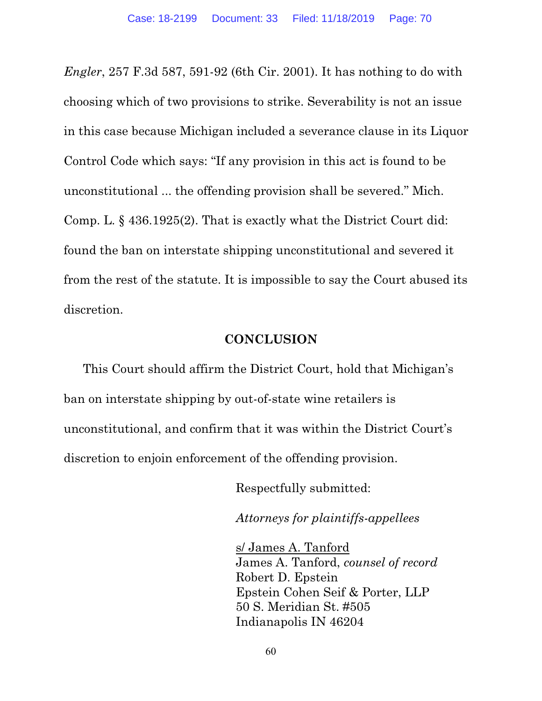*Engler*, 257 F.3d 587, 591-92 (6th Cir. 2001). It has nothing to do with choosing which of two provisions to strike. Severability is not an issue in this case because Michigan included a severance clause in its Liquor Control Code which says: "If any provision in this act is found to be unconstitutional ... the offending provision shall be severed." Mich. Comp. L. § 436.1925(2). That is exactly what the District Court did: found the ban on interstate shipping unconstitutional and severed it from the rest of the statute. It is impossible to say the Court abused its discretion.

#### **CONCLUSION**

This Court should affirm the District Court, hold that Michigan's ban on interstate shipping by out-of-state wine retailers is unconstitutional, and confirm that it was within the District Court's discretion to enjoin enforcement of the offending provision.

Respectfully submitted:

*Attorneys for plaintiffs-appellees*

s/ James A. Tanford James A. Tanford, *counsel of record* Robert D. Epstein Epstein Cohen Seif & Porter, LLP 50 S. Meridian St. #505 Indianapolis IN 46204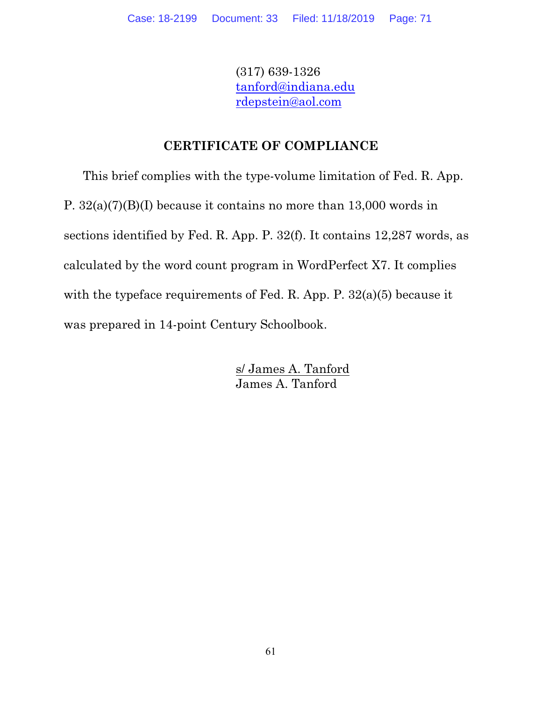(317) 639-1326 [tanford@indiana.edu](mailto:tanford@indiana.edu) [rdepstein@aol.com](mailto:rdepstein@aol.com)

# **CERTIFICATE OF COMPLIANCE**

This brief complies with the type-volume limitation of Fed. R. App. P. 32(a)(7)(B)(I) because it contains no more than 13,000 words in sections identified by Fed. R. App. P. 32(f). It contains 12,287 words, as calculated by the word count program in WordPerfect X7. It complies with the typeface requirements of Fed. R. App. P. 32(a)(5) because it was prepared in 14-point Century Schoolbook.

> s/ James A. Tanford James A. Tanford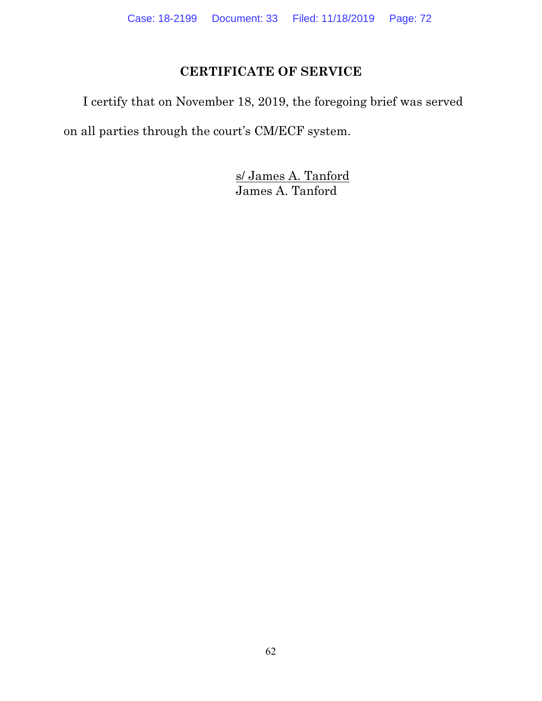# **CERTIFICATE OF SERVICE**

I certify that on November 18, 2019, the foregoing brief was served on all parties through the court's CM/ECF system.

> s/ James A. Tanford James A. Tanford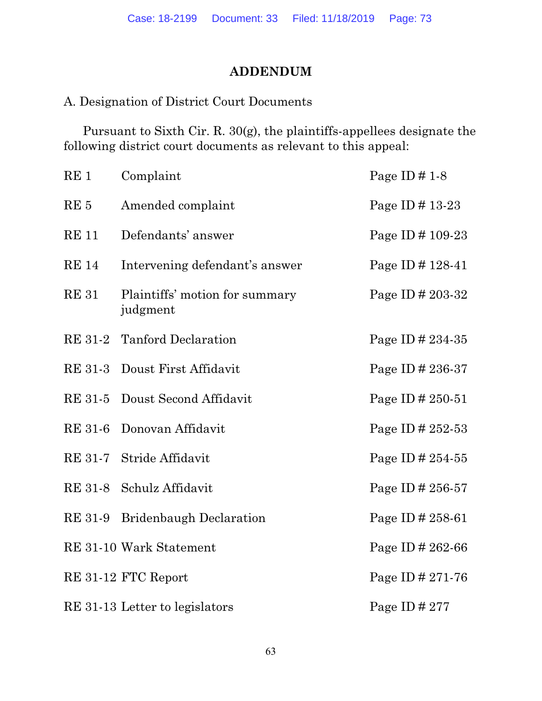## **ADDENDUM**

## A. Designation of District Court Documents

Pursuant to Sixth Cir. R. 30(g), the plaintiffs-appellees designate the following district court documents as relevant to this appeal:

| RE <sub>1</sub> | Complaint                                  | Page ID $\#$ 1-8      |
|-----------------|--------------------------------------------|-----------------------|
| RE <sub>5</sub> | Amended complaint                          | Page ID $\#$ 13-23    |
| <b>RE</b> 11    | Defendants' answer                         | Page ID # 109-23      |
| <b>RE</b> 14    | Intervening defendant's answer             | Page ID # 128-41      |
| <b>RE 31</b>    | Plaintiffs' motion for summary<br>judgment | Page ID # 203-32      |
|                 | RE 31-2 Tanford Declaration                | Page ID # 234-35      |
|                 | RE 31-3 Doust First Affidavit              | Page ID # 236-37      |
| RE 31-5         | Doust Second Affidavit                     | Page ID # 250-51      |
| <b>RE 31-6</b>  | Donovan Affidavit                          | Page ID # 252-53      |
|                 | RE 31-7 Stride Affidavit                   | Page ID $\# 254 - 55$ |
|                 | RE 31-8 Schulz Affidavit                   | Page ID # $256-57$    |
| <b>RE 31-9</b>  | <b>Bridenbaugh Declaration</b>             | Page ID # 258-61      |
|                 | RE 31-10 Wark Statement                    | Page ID # 262-66      |
|                 | RE 31-12 FTC Report                        | Page ID # 271-76      |
|                 | RE 31-13 Letter to legislators             | Page ID # $277$       |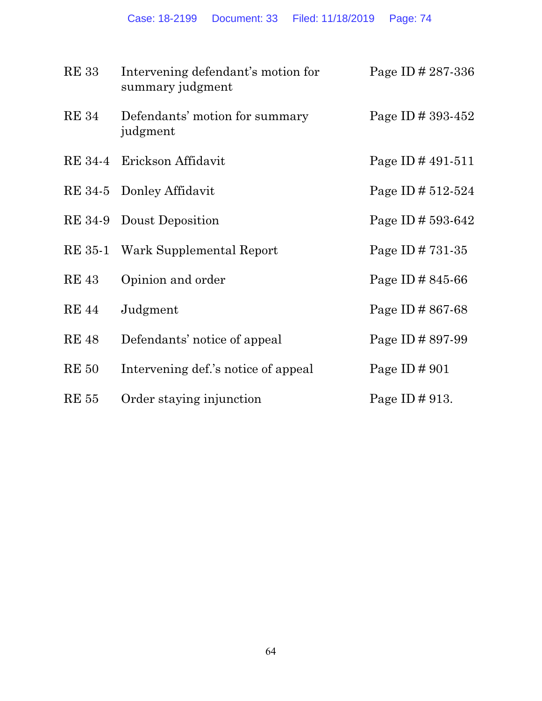| <b>RE33</b>  | Intervening defendant's motion for<br>summary judgment | Page ID $\# 287 - 336$ |
|--------------|--------------------------------------------------------|------------------------|
| <b>RE</b> 34 | Defendants' motion for summary<br>judgment             | Page ID # 393-452      |
|              | RE 34-4 Erickson Affidavit                             | Page ID # $491-511$    |
|              | RE 34-5 Donley Affidavit                               | Page ID # $512-524$    |
|              | RE 34-9 Doust Deposition                               | Page ID # $593-642$    |
| RE 35-1      | Wark Supplemental Report                               | Page ID # $731-35$     |
| <b>RE43</b>  | Opinion and order                                      | Page ID $\# 845-66$    |
| <b>RE</b> 44 | Judgment                                               | Page ID # $867-68$     |
| <b>RE48</b>  | Defendants' notice of appeal                           | Page ID # 897-99       |
| <b>RE 50</b> | Intervening def.'s notice of appeal                    | Page ID $\#$ 901       |
| <b>RE</b> 55 | Order staying injunction                               | Page ID # 913.         |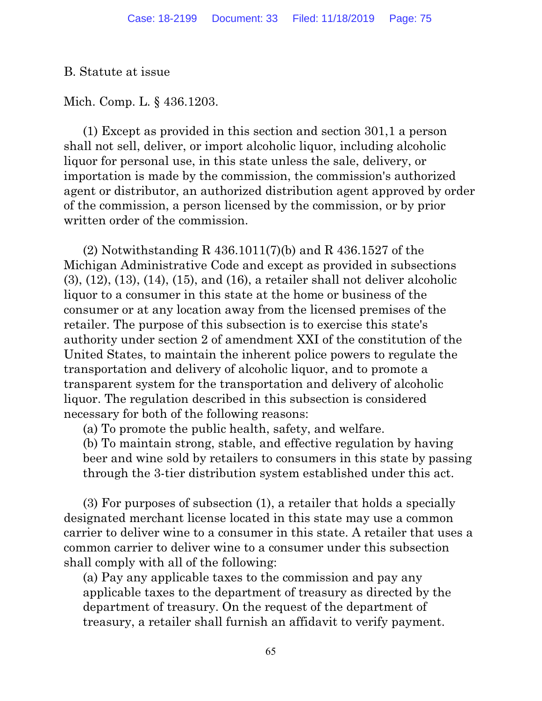B. Statute at issue

Mich. Comp. L. § 436.1203.

(1) Except as provided in this section and section 301,1 a person shall not sell, deliver, or import alcoholic liquor, including alcoholic liquor for personal use, in this state unless the sale, delivery, or importation is made by the commission, the commission's authorized agent or distributor, an authorized distribution agent approved by order of the commission, a person licensed by the commission, or by prior written order of the commission.

(2) Notwithstanding R 436.1011(7)(b) and R 436.1527 of the Michigan Administrative Code and except as provided in subsections (3), (12), (13), (14), (15), and (16), a retailer shall not deliver alcoholic liquor to a consumer in this state at the home or business of the consumer or at any location away from the licensed premises of the retailer. The purpose of this subsection is to exercise this state's authority under section 2 of amendment XXI of the constitution of the United States, to maintain the inherent police powers to regulate the transportation and delivery of alcoholic liquor, and to promote a transparent system for the transportation and delivery of alcoholic liquor. The regulation described in this subsection is considered necessary for both of the following reasons:

(a) To promote the public health, safety, and welfare.

(b) To maintain strong, stable, and effective regulation by having beer and wine sold by retailers to consumers in this state by passing through the 3-tier distribution system established under this act.

(3) For purposes of subsection (1), a retailer that holds a specially designated merchant license located in this state may use a common carrier to deliver wine to a consumer in this state. A retailer that uses a common carrier to deliver wine to a consumer under this subsection shall comply with all of the following:

(a) Pay any applicable taxes to the commission and pay any applicable taxes to the department of treasury as directed by the department of treasury. On the request of the department of treasury, a retailer shall furnish an affidavit to verify payment.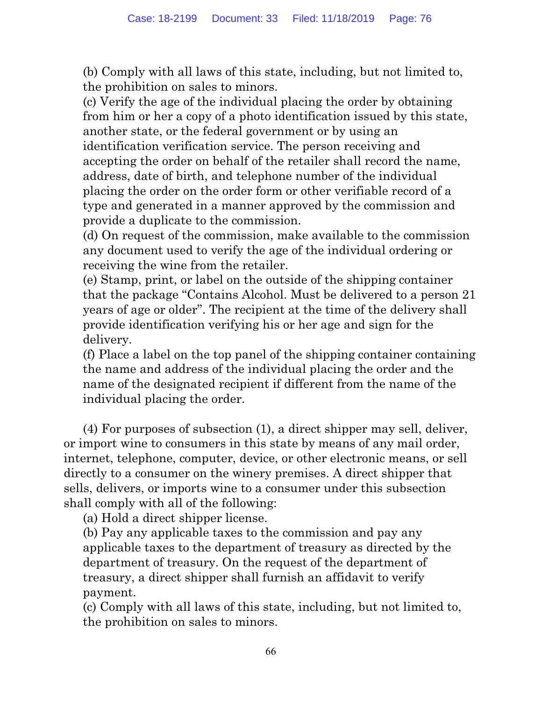(b) Comply with all laws of this state, including, but not limited to, the prohibition on sales to minors.

(c) Verify the age of the individual placing the order by obtaining from him or her a copy of a photo identification issued by this state, another state, or the federal government or by using an identification verification service. The person receiving and accepting the order on behalf of the retailer shall record the name, address, date of birth, and telephone number of the individual placing the order on the order form or other verifiable record of a type and generated in a manner approved by the commission and provide a duplicate to the commission.

(d) On request of the commission, make available to the commission any document used to verify the age of the individual ordering or receiving the wine from the retailer.

(e) Stamp, print, or label on the outside of the shipping container that the package "Contains Alcohol. Must be delivered to a person 21 years of age or older". The recipient at the time of the delivery shall provide identification verifying his or her age and sign for the delivery.

(f) Place a label on the top panel of the shipping container containing the name and address of the individual placing the order and the name of the designated recipient if different from the name of the individual placing the order.

(4) For purposes of subsection (1), a direct shipper may sell, deliver, or import wine to consumers in this state by means of any mail order, internet, telephone, computer, device, or other electronic means, or sell directly to a consumer on the winery premises. A direct shipper that sells, delivers, or imports wine to a consumer under this subsection shall comply with all of the following:

(a) Hold a direct shipper license.

(b) Pay any applicable taxes to the commission and pay any applicable taxes to the department of treasury as directed by the department of treasury. On the request of the department of treasury, a direct shipper shall furnish an affidavit to verify payment.

(c) Comply with all laws of this state, including, but not limited to, the prohibition on sales to minors.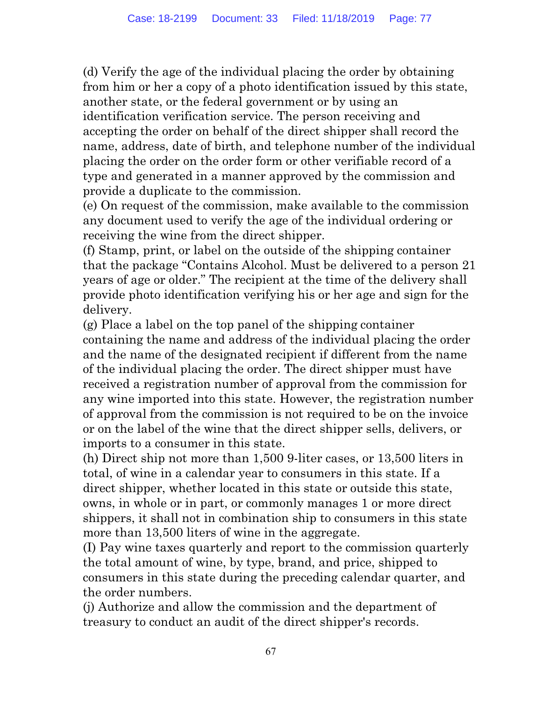(d) Verify the age of the individual placing the order by obtaining from him or her a copy of a photo identification issued by this state, another state, or the federal government or by using an identification verification service. The person receiving and accepting the order on behalf of the direct shipper shall record the name, address, date of birth, and telephone number of the individual placing the order on the order form or other verifiable record of a type and generated in a manner approved by the commission and provide a duplicate to the commission.

(e) On request of the commission, make available to the commission any document used to verify the age of the individual ordering or receiving the wine from the direct shipper.

(f) Stamp, print, or label on the outside of the shipping container that the package "Contains Alcohol. Must be delivered to a person 21 years of age or older." The recipient at the time of the delivery shall provide photo identification verifying his or her age and sign for the delivery.

(g) Place a label on the top panel of the shipping container containing the name and address of the individual placing the order and the name of the designated recipient if different from the name of the individual placing the order. The direct shipper must have received a registration number of approval from the commission for any wine imported into this state. However, the registration number of approval from the commission is not required to be on the invoice or on the label of the wine that the direct shipper sells, delivers, or imports to a consumer in this state.

(h) Direct ship not more than 1,500 9-liter cases, or 13,500 liters in total, of wine in a calendar year to consumers in this state. If a direct shipper, whether located in this state or outside this state, owns, in whole or in part, or commonly manages 1 or more direct shippers, it shall not in combination ship to consumers in this state more than 13,500 liters of wine in the aggregate.

(I) Pay wine taxes quarterly and report to the commission quarterly the total amount of wine, by type, brand, and price, shipped to consumers in this state during the preceding calendar quarter, and the order numbers.

(j) Authorize and allow the commission and the department of treasury to conduct an audit of the direct shipper's records.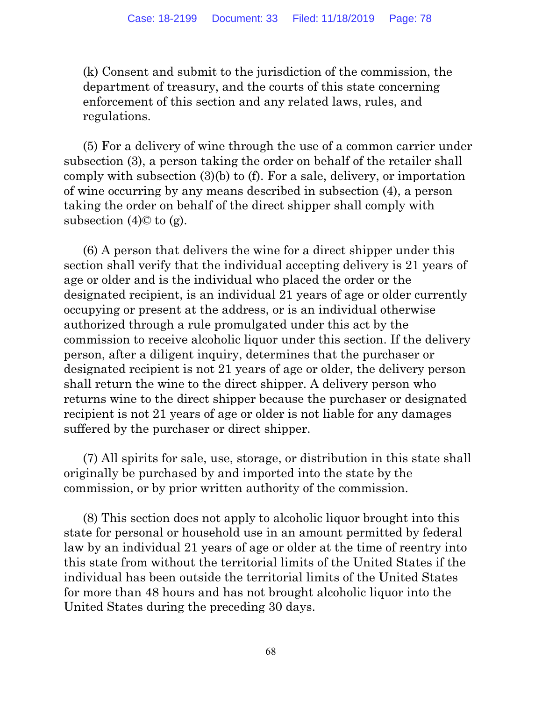(k) Consent and submit to the jurisdiction of the commission, the department of treasury, and the courts of this state concerning enforcement of this section and any related laws, rules, and regulations.

(5) For a delivery of wine through the use of a common carrier under subsection (3), a person taking the order on behalf of the retailer shall comply with subsection (3)(b) to (f). For a sale, delivery, or importation of wine occurring by any means described in subsection (4), a person taking the order on behalf of the direct shipper shall comply with subsection  $(4)$ © to  $(g)$ .

(6) A person that delivers the wine for a direct shipper under this section shall verify that the individual accepting delivery is 21 years of age or older and is the individual who placed the order or the designated recipient, is an individual 21 years of age or older currently occupying or present at the address, or is an individual otherwise authorized through a rule promulgated under this act by the commission to receive alcoholic liquor under this section. If the delivery person, after a diligent inquiry, determines that the purchaser or designated recipient is not 21 years of age or older, the delivery person shall return the wine to the direct shipper. A delivery person who returns wine to the direct shipper because the purchaser or designated recipient is not 21 years of age or older is not liable for any damages suffered by the purchaser or direct shipper.

(7) All spirits for sale, use, storage, or distribution in this state shall originally be purchased by and imported into the state by the commission, or by prior written authority of the commission.

(8) This section does not apply to alcoholic liquor brought into this state for personal or household use in an amount permitted by federal law by an individual 21 years of age or older at the time of reentry into this state from without the territorial limits of the United States if the individual has been outside the territorial limits of the United States for more than 48 hours and has not brought alcoholic liquor into the United States during the preceding 30 days.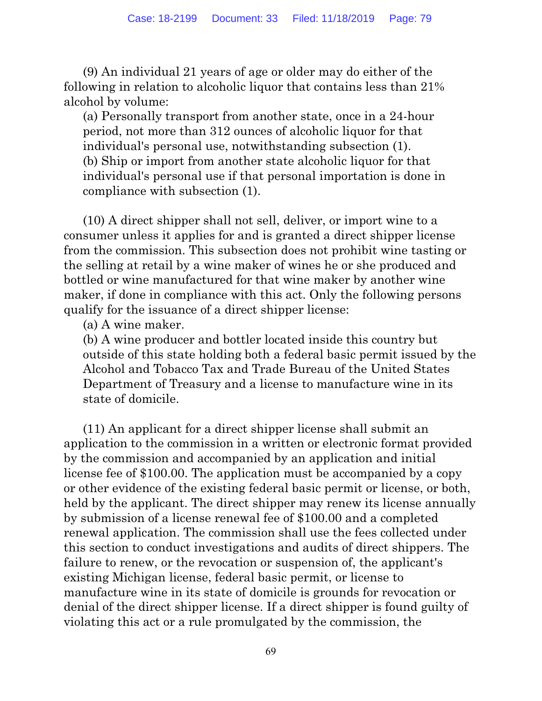(9) An individual 21 years of age or older may do either of the following in relation to alcoholic liquor that contains less than 21% alcohol by volume:

(a) Personally transport from another state, once in a 24-hour period, not more than 312 ounces of alcoholic liquor for that individual's personal use, notwithstanding subsection (1). (b) Ship or import from another state alcoholic liquor for that individual's personal use if that personal importation is done in compliance with subsection (1).

(10) A direct shipper shall not sell, deliver, or import wine to a consumer unless it applies for and is granted a direct shipper license from the commission. This subsection does not prohibit wine tasting or the selling at retail by a wine maker of wines he or she produced and bottled or wine manufactured for that wine maker by another wine maker, if done in compliance with this act. Only the following persons qualify for the issuance of a direct shipper license:

(a) A wine maker.

(b) A wine producer and bottler located inside this country but outside of this state holding both a federal basic permit issued by the Alcohol and Tobacco Tax and Trade Bureau of the United States Department of Treasury and a license to manufacture wine in its state of domicile.

(11) An applicant for a direct shipper license shall submit an application to the commission in a written or electronic format provided by the commission and accompanied by an application and initial license fee of \$100.00. The application must be accompanied by a copy or other evidence of the existing federal basic permit or license, or both, held by the applicant. The direct shipper may renew its license annually by submission of a license renewal fee of \$100.00 and a completed renewal application. The commission shall use the fees collected under this section to conduct investigations and audits of direct shippers. The failure to renew, or the revocation or suspension of, the applicant's existing Michigan license, federal basic permit, or license to manufacture wine in its state of domicile is grounds for revocation or denial of the direct shipper license. If a direct shipper is found guilty of violating this act or a rule promulgated by the commission, the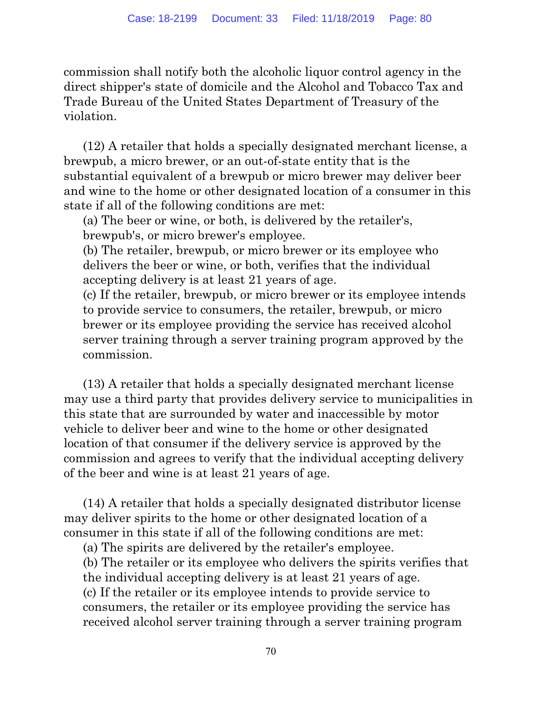commission shall notify both the alcoholic liquor control agency in the direct shipper's state of domicile and the Alcohol and Tobacco Tax and Trade Bureau of the United States Department of Treasury of the violation.

(12) A retailer that holds a specially designated merchant license, a brewpub, a micro brewer, or an out-of-state entity that is the substantial equivalent of a brewpub or micro brewer may deliver beer and wine to the home or other designated location of a consumer in this state if all of the following conditions are met:

(a) The beer or wine, or both, is delivered by the retailer's, brewpub's, or micro brewer's employee.

(b) The retailer, brewpub, or micro brewer or its employee who delivers the beer or wine, or both, verifies that the individual accepting delivery is at least 21 years of age.

(c) If the retailer, brewpub, or micro brewer or its employee intends to provide service to consumers, the retailer, brewpub, or micro brewer or its employee providing the service has received alcohol server training through a server training program approved by the commission.

(13) A retailer that holds a specially designated merchant license may use a third party that provides delivery service to municipalities in this state that are surrounded by water and inaccessible by motor vehicle to deliver beer and wine to the home or other designated location of that consumer if the delivery service is approved by the commission and agrees to verify that the individual accepting delivery of the beer and wine is at least 21 years of age.

(14) A retailer that holds a specially designated distributor license may deliver spirits to the home or other designated location of a consumer in this state if all of the following conditions are met:

(a) The spirits are delivered by the retailer's employee.

(b) The retailer or its employee who delivers the spirits verifies that the individual accepting delivery is at least 21 years of age. (c) If the retailer or its employee intends to provide service to consumers, the retailer or its employee providing the service has received alcohol server training through a server training program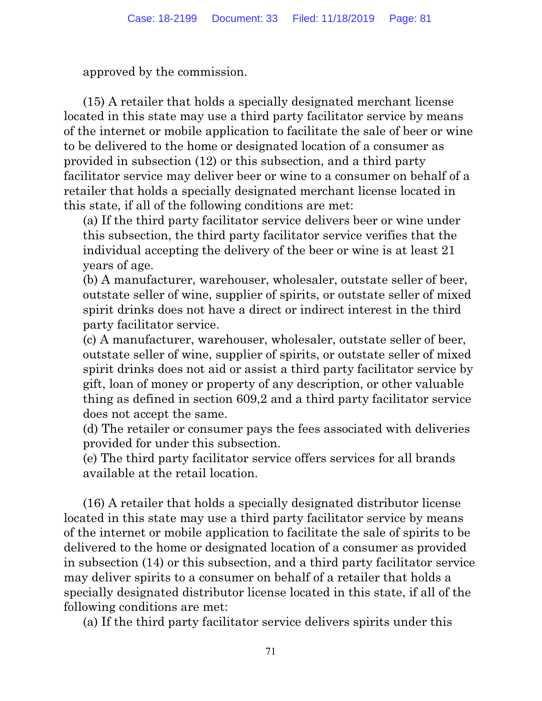approved by the commission.

(15) A retailer that holds a specially designated merchant license located in this state may use a third party facilitator service by means of the internet or mobile application to facilitate the sale of beer or wine to be delivered to the home or designated location of a consumer as provided in subsection (12) or this subsection, and a third party facilitator service may deliver beer or wine to a consumer on behalf of a retailer that holds a specially designated merchant license located in this state, if all of the following conditions are met:

(a) If the third party facilitator service delivers beer or wine under this subsection, the third party facilitator service verifies that the individual accepting the delivery of the beer or wine is at least 21 years of age.

(b) A manufacturer, warehouser, wholesaler, outstate seller of beer, outstate seller of wine, supplier of spirits, or outstate seller of mixed spirit drinks does not have a direct or indirect interest in the third party facilitator service.

(c) A manufacturer, warehouser, wholesaler, outstate seller of beer, outstate seller of wine, supplier of spirits, or outstate seller of mixed spirit drinks does not aid or assist a third party facilitator service by gift, loan of money or property of any description, or other valuable thing as defined in section 609,2 and a third party facilitator service does not accept the same.

(d) The retailer or consumer pays the fees associated with deliveries provided for under this subsection.

(e) The third party facilitator service offers services for all brands available at the retail location.

(16) A retailer that holds a specially designated distributor license located in this state may use a third party facilitator service by means of the internet or mobile application to facilitate the sale of spirits to be delivered to the home or designated location of a consumer as provided in subsection (14) or this subsection, and a third party facilitator service may deliver spirits to a consumer on behalf of a retailer that holds a specially designated distributor license located in this state, if all of the following conditions are met:

(a) If the third party facilitator service delivers spirits under this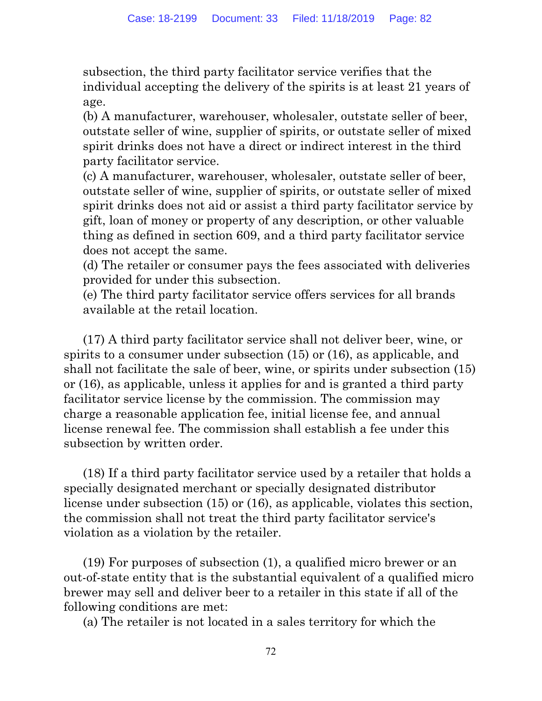subsection, the third party facilitator service verifies that the individual accepting the delivery of the spirits is at least 21 years of age.

(b) A manufacturer, warehouser, wholesaler, outstate seller of beer, outstate seller of wine, supplier of spirits, or outstate seller of mixed spirit drinks does not have a direct or indirect interest in the third party facilitator service.

(c) A manufacturer, warehouser, wholesaler, outstate seller of beer, outstate seller of wine, supplier of spirits, or outstate seller of mixed spirit drinks does not aid or assist a third party facilitator service by gift, loan of money or property of any description, or other valuable thing as defined in section 609, and a third party facilitator service does not accept the same.

(d) The retailer or consumer pays the fees associated with deliveries provided for under this subsection.

(e) The third party facilitator service offers services for all brands available at the retail location.

(17) A third party facilitator service shall not deliver beer, wine, or spirits to a consumer under subsection (15) or (16), as applicable, and shall not facilitate the sale of beer, wine, or spirits under subsection (15) or (16), as applicable, unless it applies for and is granted a third party facilitator service license by the commission. The commission may charge a reasonable application fee, initial license fee, and annual license renewal fee. The commission shall establish a fee under this subsection by written order.

(18) If a third party facilitator service used by a retailer that holds a specially designated merchant or specially designated distributor license under subsection (15) or (16), as applicable, violates this section, the commission shall not treat the third party facilitator service's violation as a violation by the retailer.

(19) For purposes of subsection (1), a qualified micro brewer or an out-of-state entity that is the substantial equivalent of a qualified micro brewer may sell and deliver beer to a retailer in this state if all of the following conditions are met:

(a) The retailer is not located in a sales territory for which the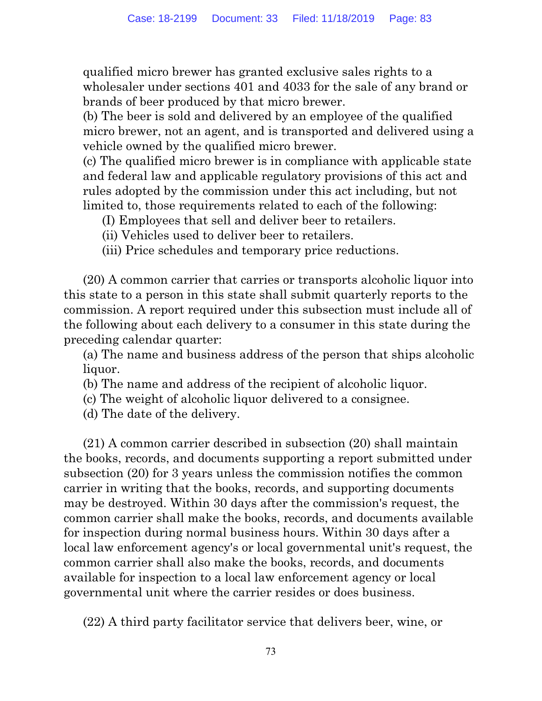qualified micro brewer has granted exclusive sales rights to a wholesaler under sections 401 and 4033 for the sale of any brand or brands of beer produced by that micro brewer.

(b) The beer is sold and delivered by an employee of the qualified micro brewer, not an agent, and is transported and delivered using a vehicle owned by the qualified micro brewer.

(c) The qualified micro brewer is in compliance with applicable state and federal law and applicable regulatory provisions of this act and rules adopted by the commission under this act including, but not limited to, those requirements related to each of the following:

- (I) Employees that sell and deliver beer to retailers.
- (ii) Vehicles used to deliver beer to retailers.
- (iii) Price schedules and temporary price reductions.

(20) A common carrier that carries or transports alcoholic liquor into this state to a person in this state shall submit quarterly reports to the commission. A report required under this subsection must include all of the following about each delivery to a consumer in this state during the preceding calendar quarter:

(a) The name and business address of the person that ships alcoholic liquor.

- (b) The name and address of the recipient of alcoholic liquor.
- (c) The weight of alcoholic liquor delivered to a consignee.
- (d) The date of the delivery.

(21) A common carrier described in subsection (20) shall maintain the books, records, and documents supporting a report submitted under subsection (20) for 3 years unless the commission notifies the common carrier in writing that the books, records, and supporting documents may be destroyed. Within 30 days after the commission's request, the common carrier shall make the books, records, and documents available for inspection during normal business hours. Within 30 days after a local law enforcement agency's or local governmental unit's request, the common carrier shall also make the books, records, and documents available for inspection to a local law enforcement agency or local governmental unit where the carrier resides or does business.

(22) A third party facilitator service that delivers beer, wine, or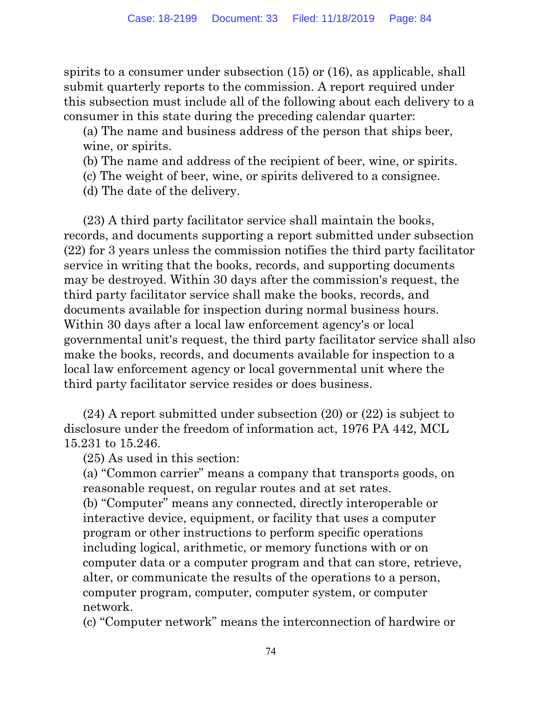spirits to a consumer under subsection (15) or (16), as applicable, shall submit quarterly reports to the commission. A report required under this subsection must include all of the following about each delivery to a consumer in this state during the preceding calendar quarter:

(a) The name and business address of the person that ships beer, wine, or spirits.

- (b) The name and address of the recipient of beer, wine, or spirits.
- (c) The weight of beer, wine, or spirits delivered to a consignee.
- (d) The date of the delivery.

(23) A third party facilitator service shall maintain the books, records, and documents supporting a report submitted under subsection (22) for 3 years unless the commission notifies the third party facilitator service in writing that the books, records, and supporting documents may be destroyed. Within 30 days after the commission's request, the third party facilitator service shall make the books, records, and documents available for inspection during normal business hours. Within 30 days after a local law enforcement agency's or local governmental unit's request, the third party facilitator service shall also make the books, records, and documents available for inspection to a local law enforcement agency or local governmental unit where the third party facilitator service resides or does business.

(24) A report submitted under subsection (20) or (22) is subject to disclosure under the freedom of information act, 1976 PA 442, MCL 15.231 to 15.246.

(25) As used in this section:

(a) "Common carrier" means a company that transports goods, on reasonable request, on regular routes and at set rates.

(b) "Computer" means any connected, directly interoperable or interactive device, equipment, or facility that uses a computer program or other instructions to perform specific operations including logical, arithmetic, or memory functions with or on computer data or a computer program and that can store, retrieve, alter, or communicate the results of the operations to a person, computer program, computer, computer system, or computer network.

(c) "Computer network" means the interconnection of hardwire or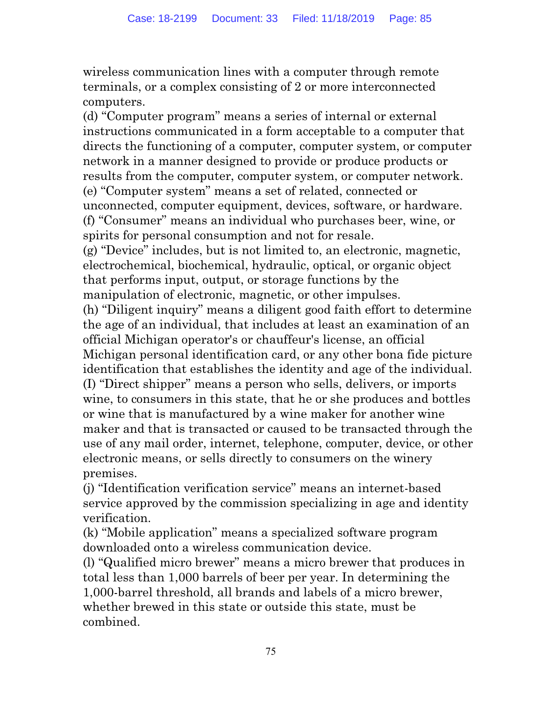wireless communication lines with a computer through remote terminals, or a complex consisting of 2 or more interconnected computers.

(d) "Computer program" means a series of internal or external instructions communicated in a form acceptable to a computer that directs the functioning of a computer, computer system, or computer network in a manner designed to provide or produce products or results from the computer, computer system, or computer network. (e) "Computer system" means a set of related, connected or unconnected, computer equipment, devices, software, or hardware. (f) "Consumer" means an individual who purchases beer, wine, or spirits for personal consumption and not for resale.

(g) "Device" includes, but is not limited to, an electronic, magnetic, electrochemical, biochemical, hydraulic, optical, or organic object that performs input, output, or storage functions by the manipulation of electronic, magnetic, or other impulses.

(h) "Diligent inquiry" means a diligent good faith effort to determine the age of an individual, that includes at least an examination of an official Michigan operator's or chauffeur's license, an official Michigan personal identification card, or any other bona fide picture identification that establishes the identity and age of the individual. (I) "Direct shipper" means a person who sells, delivers, or imports wine, to consumers in this state, that he or she produces and bottles or wine that is manufactured by a wine maker for another wine maker and that is transacted or caused to be transacted through the use of any mail order, internet, telephone, computer, device, or other electronic means, or sells directly to consumers on the winery premises.

(j) "Identification verification service" means an internet-based service approved by the commission specializing in age and identity verification.

(k) "Mobile application" means a specialized software program downloaded onto a wireless communication device.

(l) "Qualified micro brewer" means a micro brewer that produces in total less than 1,000 barrels of beer per year. In determining the 1,000-barrel threshold, all brands and labels of a micro brewer, whether brewed in this state or outside this state, must be combined.